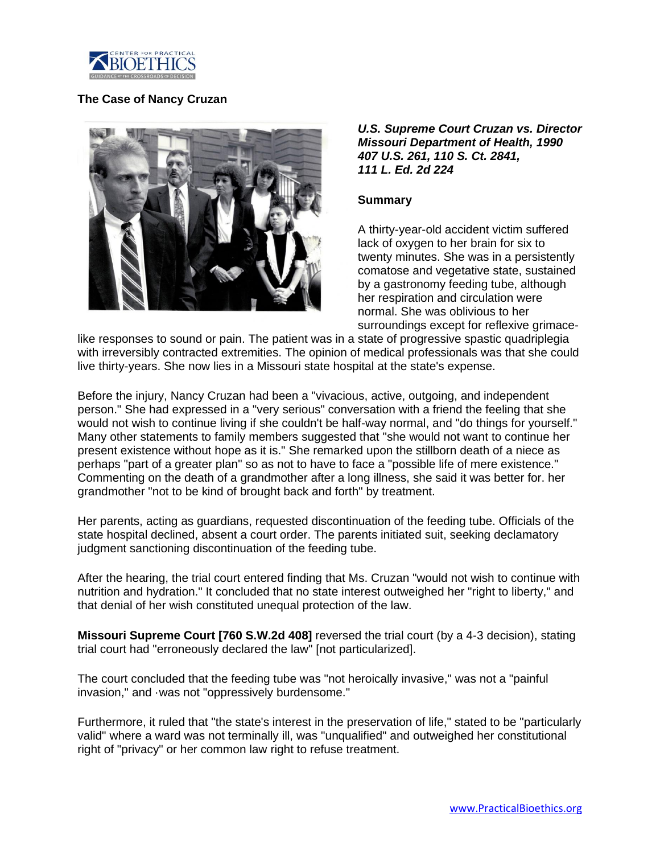

## **The Case of Nancy Cruzan**



### *U.S. Supreme Court Cruzan vs. Director Missouri Department of Health, 1990 407 U.S. 261, 110 S. Ct. 2841, 111 L. Ed. 2d 224*

#### **Summary**

A thirty-year-old accident victim suffered lack of oxygen to her brain for six to twenty minutes. She was in a persistently comatose and vegetative state, sustained by a gastronomy feeding tube, although her respiration and circulation were normal. She was oblivious to her surroundings except for reflexive grimace-

like responses to sound or pain. The patient was in a state of progressive spastic quadriplegia with irreversibly contracted extremities. The opinion of medical professionals was that she could live thirty-years. She now lies in a Missouri state hospital at the state's expense.

Before the injury, Nancy Cruzan had been a "vivacious, active, outgoing, and independent person." She had expressed in a "very serious" conversation with a friend the feeling that she would not wish to continue living if she couldn't be half-way normal, and "do things for yourself." Many other statements to family members suggested that "she would not want to continue her present existence without hope as it is." She remarked upon the stillborn death of a niece as perhaps "part of a greater plan" so as not to have to face a "possible life of mere existence." Commenting on the death of a grandmother after a long illness, she said it was better for. her grandmother "not to be kind of brought back and forth" by treatment.

Her parents, acting as guardians, requested discontinuation of the feeding tube. Officials of the state hospital declined, absent a court order. The parents initiated suit, seeking declamatory judgment sanctioning discontinuation of the feeding tube.

After the hearing, the trial court entered finding that Ms. Cruzan "would not wish to continue with nutrition and hydration." It concluded that no state interest outweighed her "right to liberty," and that denial of her wish constituted unequal protection of the law.

**Missouri Supreme Court [760 S.W.2d 408]** reversed the trial court (by a 4-3 decision), stating trial court had "erroneously declared the law" [not particularized].

The court concluded that the feeding tube was "not heroically invasive," was not a "painful invasion," and ·was not "oppressively burdensome."

Furthermore, it ruled that "the state's interest in the preservation of life," stated to be "particularly valid" where a ward was not terminally ill, was "unqualified" and outweighed her constitutional right of "privacy" or her common law right to refuse treatment.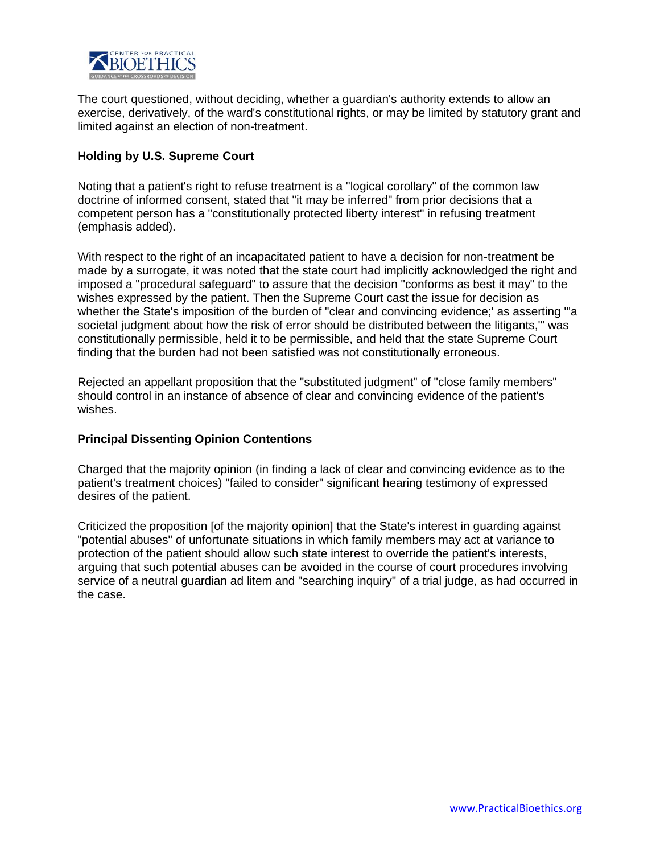

The court questioned, without deciding, whether a guardian's authority extends to allow an exercise, derivatively, of the ward's constitutional rights, or may be limited by statutory grant and limited against an election of non-treatment.

## **Holding by U.S. Supreme Court**

Noting that a patient's right to refuse treatment is a ''logical corollary" of the common law doctrine of informed consent, stated that "it may be inferred" from prior decisions that a competent person has a "constitutionally protected liberty interest" in refusing treatment (emphasis added).

With respect to the right of an incapacitated patient to have a decision for non-treatment be made by a surrogate, it was noted that the state court had implicitly acknowledged the right and imposed a "procedural safeguard" to assure that the decision "conforms as best it may" to the wishes expressed by the patient. Then the Supreme Court cast the issue for decision as whether the State's imposition of the burden of "clear and convincing evidence;' as asserting '"a societal judgment about how the risk of error should be distributed between the litigants,'" was constitutionally permissible, held it to be permissible, and held that the state Supreme Court finding that the burden had not been satisfied was not constitutionally erroneous.

Rejected an appellant proposition that the "substituted judgment" of "close family members" should control in an instance of absence of clear and convincing evidence of the patient's wishes.

#### **Principal Dissenting Opinion Contentions**

Charged that the majority opinion (in finding a lack of clear and convincing evidence as to the patient's treatment choices) "failed to consider" significant hearing testimony of expressed desires of the patient.

Criticized the proposition [of the majority opinion] that the State's interest in guarding against "potential abuses" of unfortunate situations in which family members may act at variance to protection of the patient should allow such state interest to override the patient's interests, arguing that such potential abuses can be avoided in the course of court procedures involving service of a neutral guardian ad litem and "searching inquiry" of a trial judge, as had occurred in the case.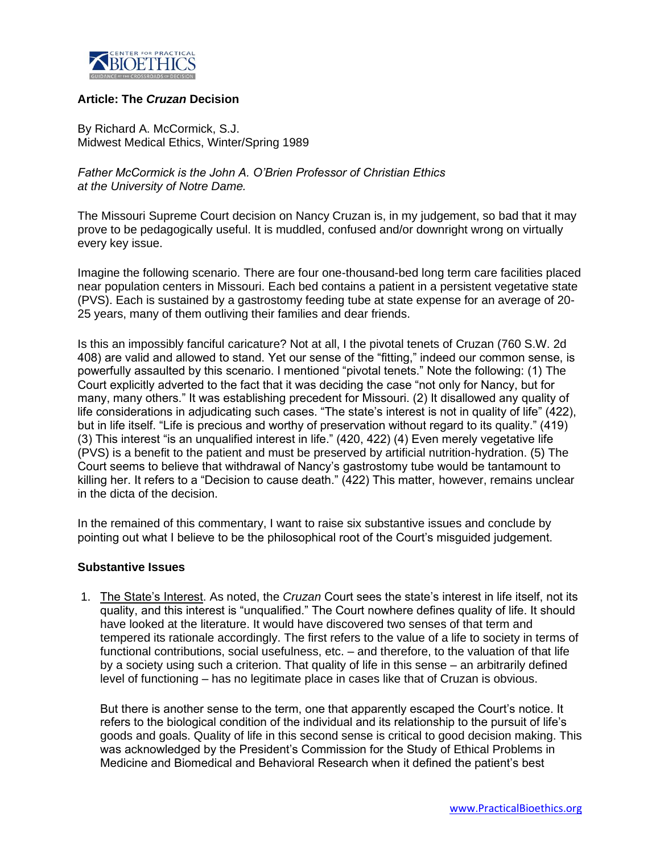

# **Article: The** *Cruzan* **Decision**

By Richard A. McCormick, S.J. Midwest Medical Ethics, Winter/Spring 1989

*Father McCormick is the John A. O'Brien Professor of Christian Ethics at the University of Notre Dame.*

The Missouri Supreme Court decision on Nancy Cruzan is, in my judgement, so bad that it may prove to be pedagogically useful. It is muddled, confused and/or downright wrong on virtually every key issue.

Imagine the following scenario. There are four one-thousand-bed long term care facilities placed near population centers in Missouri. Each bed contains a patient in a persistent vegetative state (PVS). Each is sustained by a gastrostomy feeding tube at state expense for an average of 20- 25 years, many of them outliving their families and dear friends.

Is this an impossibly fanciful caricature? Not at all, I the pivotal tenets of Cruzan (760 S.W. 2d 408) are valid and allowed to stand. Yet our sense of the "fitting," indeed our common sense, is powerfully assaulted by this scenario. I mentioned "pivotal tenets." Note the following: (1) The Court explicitly adverted to the fact that it was deciding the case "not only for Nancy, but for many, many others." It was establishing precedent for Missouri. (2) It disallowed any quality of life considerations in adjudicating such cases. "The state's interest is not in quality of life" (422), but in life itself. "Life is precious and worthy of preservation without regard to its quality." (419) (3) This interest "is an unqualified interest in life." (420, 422) (4) Even merely vegetative life (PVS) is a benefit to the patient and must be preserved by artificial nutrition-hydration. (5) The Court seems to believe that withdrawal of Nancy's gastrostomy tube would be tantamount to killing her. It refers to a "Decision to cause death." (422) This matter, however, remains unclear in the dicta of the decision.

In the remained of this commentary, I want to raise six substantive issues and conclude by pointing out what I believe to be the philosophical root of the Court's misguided judgement.

#### **Substantive Issues**

1. The State's Interest. As noted, the *Cruzan* Court sees the state's interest in life itself, not its quality, and this interest is "unqualified." The Court nowhere defines quality of life. It should have looked at the literature. It would have discovered two senses of that term and tempered its rationale accordingly. The first refers to the value of a life to society in terms of functional contributions, social usefulness, etc. – and therefore, to the valuation of that life by a society using such a criterion. That quality of life in this sense – an arbitrarily defined level of functioning – has no legitimate place in cases like that of Cruzan is obvious.

But there is another sense to the term, one that apparently escaped the Court's notice. It refers to the biological condition of the individual and its relationship to the pursuit of life's goods and goals. Quality of life in this second sense is critical to good decision making. This was acknowledged by the President's Commission for the Study of Ethical Problems in Medicine and Biomedical and Behavioral Research when it defined the patient's best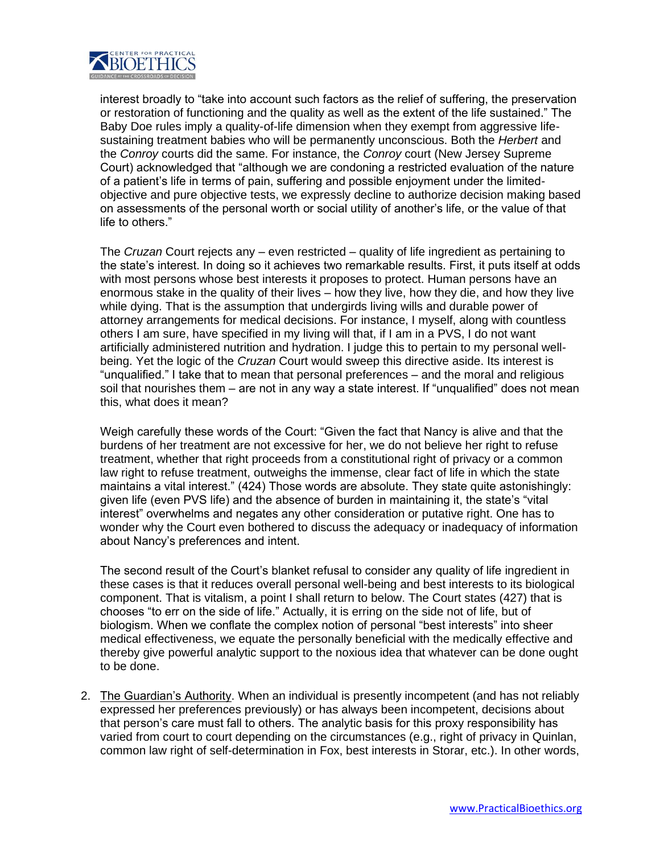

interest broadly to "take into account such factors as the relief of suffering, the preservation or restoration of functioning and the quality as well as the extent of the life sustained." The Baby Doe rules imply a quality-of-life dimension when they exempt from aggressive lifesustaining treatment babies who will be permanently unconscious. Both the *Herbert* and the *Conroy* courts did the same. For instance, the *Conroy* court (New Jersey Supreme Court) acknowledged that "although we are condoning a restricted evaluation of the nature of a patient's life in terms of pain, suffering and possible enjoyment under the limitedobjective and pure objective tests, we expressly decline to authorize decision making based on assessments of the personal worth or social utility of another's life, or the value of that life to others."

The *Cruzan* Court rejects any – even restricted – quality of life ingredient as pertaining to the state's interest. In doing so it achieves two remarkable results. First, it puts itself at odds with most persons whose best interests it proposes to protect. Human persons have an enormous stake in the quality of their lives – how they live, how they die, and how they live while dying. That is the assumption that undergirds living wills and durable power of attorney arrangements for medical decisions. For instance, I myself, along with countless others I am sure, have specified in my living will that, if I am in a PVS, I do not want artificially administered nutrition and hydration. I judge this to pertain to my personal wellbeing. Yet the logic of the *Cruzan* Court would sweep this directive aside. Its interest is "unqualified." I take that to mean that personal preferences – and the moral and religious soil that nourishes them – are not in any way a state interest. If "unqualified" does not mean this, what does it mean?

Weigh carefully these words of the Court: "Given the fact that Nancy is alive and that the burdens of her treatment are not excessive for her, we do not believe her right to refuse treatment, whether that right proceeds from a constitutional right of privacy or a common law right to refuse treatment, outweighs the immense, clear fact of life in which the state maintains a vital interest." (424) Those words are absolute. They state quite astonishingly: given life (even PVS life) and the absence of burden in maintaining it, the state's "vital interest" overwhelms and negates any other consideration or putative right. One has to wonder why the Court even bothered to discuss the adequacy or inadequacy of information about Nancy's preferences and intent.

The second result of the Court's blanket refusal to consider any quality of life ingredient in these cases is that it reduces overall personal well-being and best interests to its biological component. That is vitalism, a point I shall return to below. The Court states (427) that is chooses "to err on the side of life." Actually, it is erring on the side not of life, but of biologism. When we conflate the complex notion of personal "best interests" into sheer medical effectiveness, we equate the personally beneficial with the medically effective and thereby give powerful analytic support to the noxious idea that whatever can be done ought to be done.

2. The Guardian's Authority. When an individual is presently incompetent (and has not reliably expressed her preferences previously) or has always been incompetent, decisions about that person's care must fall to others. The analytic basis for this proxy responsibility has varied from court to court depending on the circumstances (e.g., right of privacy in Quinlan, common law right of self-determination in Fox, best interests in Storar, etc.). In other words,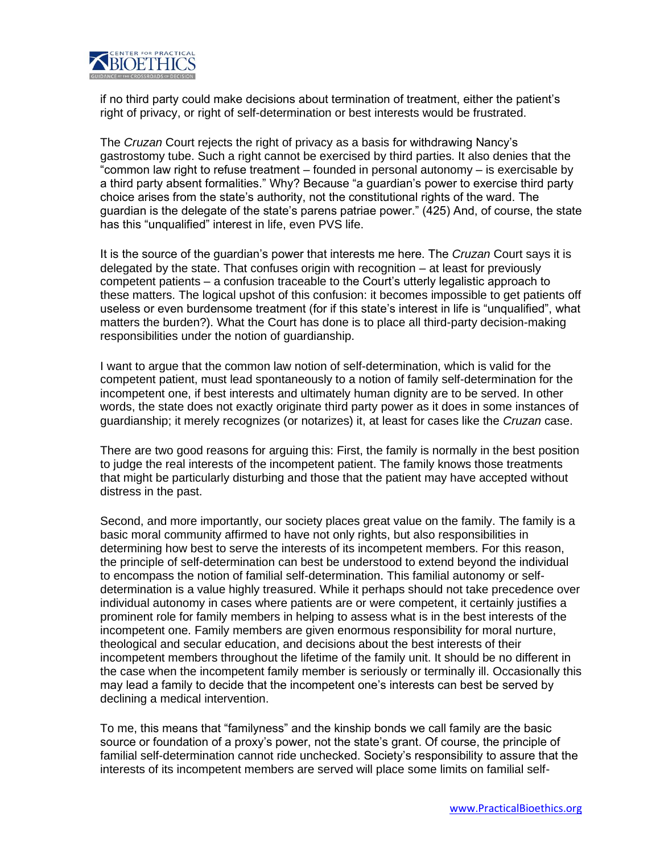

if no third party could make decisions about termination of treatment, either the patient's right of privacy, or right of self-determination or best interests would be frustrated.

The *Cruzan* Court rejects the right of privacy as a basis for withdrawing Nancy's gastrostomy tube. Such a right cannot be exercised by third parties. It also denies that the "common law right to refuse treatment – founded in personal autonomy – is exercisable by a third party absent formalities." Why? Because "a guardian's power to exercise third party choice arises from the state's authority, not the constitutional rights of the ward. The guardian is the delegate of the state's parens patriae power." (425) And, of course, the state has this "unqualified" interest in life, even PVS life.

It is the source of the guardian's power that interests me here. The *Cruzan* Court says it is delegated by the state. That confuses origin with recognition – at least for previously competent patients – a confusion traceable to the Court's utterly legalistic approach to these matters. The logical upshot of this confusion: it becomes impossible to get patients off useless or even burdensome treatment (for if this state's interest in life is "unqualified", what matters the burden?). What the Court has done is to place all third-party decision-making responsibilities under the notion of guardianship.

I want to argue that the common law notion of self-determination, which is valid for the competent patient, must lead spontaneously to a notion of family self-determination for the incompetent one, if best interests and ultimately human dignity are to be served. In other words, the state does not exactly originate third party power as it does in some instances of guardianship; it merely recognizes (or notarizes) it, at least for cases like the *Cruzan* case.

There are two good reasons for arguing this: First, the family is normally in the best position to judge the real interests of the incompetent patient. The family knows those treatments that might be particularly disturbing and those that the patient may have accepted without distress in the past.

Second, and more importantly, our society places great value on the family. The family is a basic moral community affirmed to have not only rights, but also responsibilities in determining how best to serve the interests of its incompetent members. For this reason, the principle of self-determination can best be understood to extend beyond the individual to encompass the notion of familial self-determination. This familial autonomy or selfdetermination is a value highly treasured. While it perhaps should not take precedence over individual autonomy in cases where patients are or were competent, it certainly justifies a prominent role for family members in helping to assess what is in the best interests of the incompetent one. Family members are given enormous responsibility for moral nurture, theological and secular education, and decisions about the best interests of their incompetent members throughout the lifetime of the family unit. It should be no different in the case when the incompetent family member is seriously or terminally ill. Occasionally this may lead a family to decide that the incompetent one's interests can best be served by declining a medical intervention.

To me, this means that "familyness" and the kinship bonds we call family are the basic source or foundation of a proxy's power, not the state's grant. Of course, the principle of familial self-determination cannot ride unchecked. Society's responsibility to assure that the interests of its incompetent members are served will place some limits on familial self-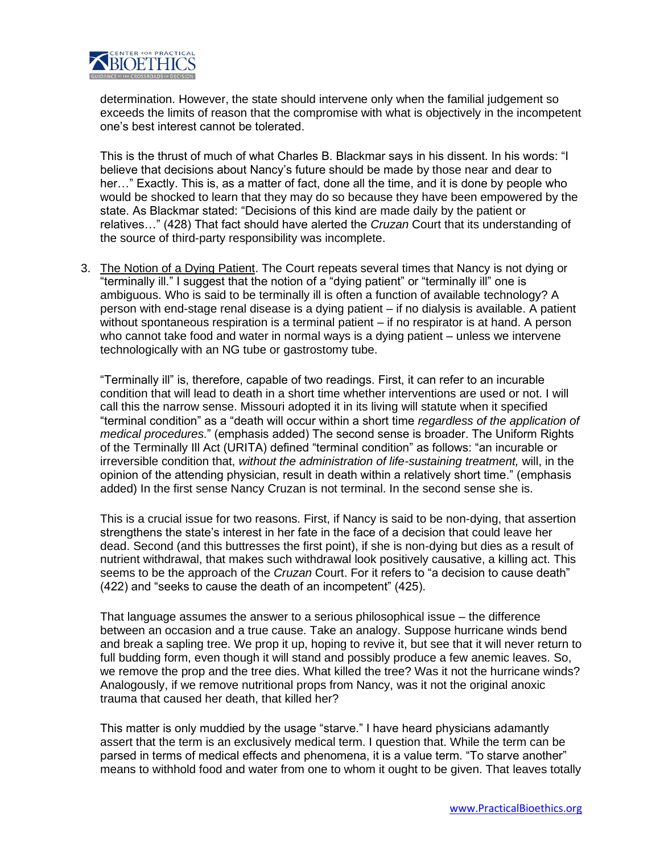

determination. However, the state should intervene only when the familial judgement so exceeds the limits of reason that the compromise with what is objectively in the incompetent one's best interest cannot be tolerated.

This is the thrust of much of what Charles B. Blackmar says in his dissent. In his words: "I believe that decisions about Nancy's future should be made by those near and dear to her…" Exactly. This is, as a matter of fact, done all the time, and it is done by people who would be shocked to learn that they may do so because they have been empowered by the state. As Blackmar stated: "Decisions of this kind are made daily by the patient or relatives…" (428) That fact should have alerted the *Cruzan* Court that its understanding of the source of third-party responsibility was incomplete.

3. The Notion of a Dying Patient. The Court repeats several times that Nancy is not dying or "terminally ill." I suggest that the notion of a "dying patient" or "terminally ill" one is ambiguous. Who is said to be terminally ill is often a function of available technology? A person with end-stage renal disease is a dying patient – if no dialysis is available. A patient without spontaneous respiration is a terminal patient – if no respirator is at hand. A person who cannot take food and water in normal ways is a dying patient – unless we intervene technologically with an NG tube or gastrostomy tube.

"Terminally ill" is, therefore, capable of two readings. First, it can refer to an incurable condition that will lead to death in a short time whether interventions are used or not. I will call this the narrow sense. Missouri adopted it in its living will statute when it specified "terminal condition" as a "death will occur within a short time *regardless of the application of medical procedures*." (emphasis added) The second sense is broader. The Uniform Rights of the Terminally Ill Act (URITA) defined "terminal condition" as follows: "an incurable or irreversible condition that, *without the administration of life-sustaining treatment,* will, in the opinion of the attending physician, result in death within a relatively short time." (emphasis added) In the first sense Nancy Cruzan is not terminal. In the second sense she is.

This is a crucial issue for two reasons. First, if Nancy is said to be non-dying, that assertion strengthens the state's interest in her fate in the face of a decision that could leave her dead. Second (and this buttresses the first point), if she is non-dying but dies as a result of nutrient withdrawal, that makes such withdrawal look positively causative, a killing act. This seems to be the approach of the *Cruzan* Court. For it refers to "a decision to cause death" (422) and "seeks to cause the death of an incompetent" (425).

That language assumes the answer to a serious philosophical issue – the difference between an occasion and a true cause. Take an analogy. Suppose hurricane winds bend and break a sapling tree. We prop it up, hoping to revive it, but see that it will never return to full budding form, even though it will stand and possibly produce a few anemic leaves. So, we remove the prop and the tree dies. What killed the tree? Was it not the hurricane winds? Analogously, if we remove nutritional props from Nancy, was it not the original anoxic trauma that caused her death, that killed her?

This matter is only muddied by the usage "starve." I have heard physicians adamantly assert that the term is an exclusively medical term. I question that. While the term can be parsed in terms of medical effects and phenomena, it is a value term. "To starve another" means to withhold food and water from one to whom it ought to be given. That leaves totally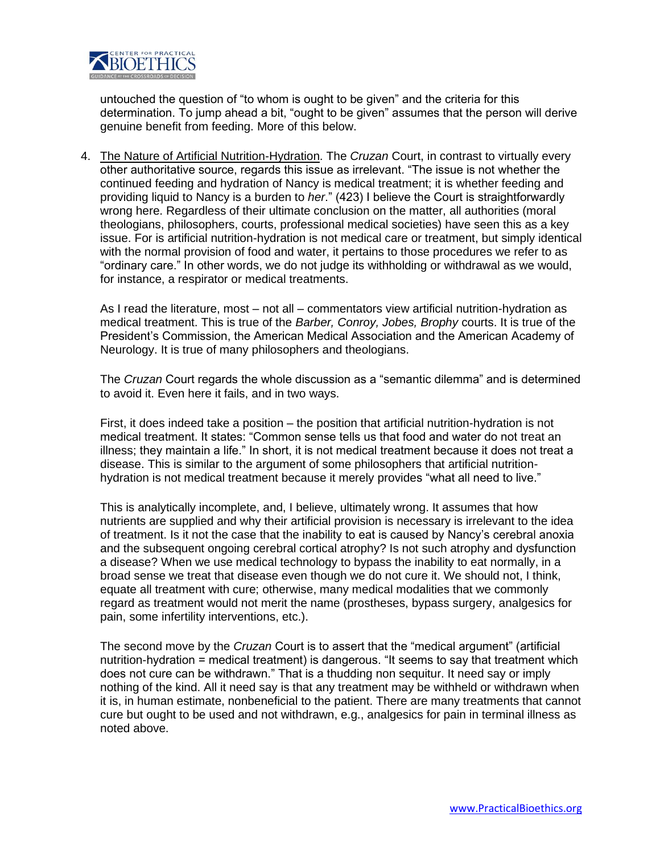

untouched the question of "to whom is ought to be given" and the criteria for this determination. To jump ahead a bit, "ought to be given" assumes that the person will derive genuine benefit from feeding. More of this below.

4. The Nature of Artificial Nutrition-Hydration. The *Cruzan* Court, in contrast to virtually every other authoritative source, regards this issue as irrelevant. "The issue is not whether the continued feeding and hydration of Nancy is medical treatment; it is whether feeding and providing liquid to Nancy is a burden to *her*." (423) I believe the Court is straightforwardly wrong here. Regardless of their ultimate conclusion on the matter, all authorities (moral theologians, philosophers, courts, professional medical societies) have seen this as a key issue. For is artificial nutrition-hydration is not medical care or treatment, but simply identical with the normal provision of food and water, it pertains to those procedures we refer to as "ordinary care." In other words, we do not judge its withholding or withdrawal as we would, for instance, a respirator or medical treatments.

As I read the literature, most – not all – commentators view artificial nutrition-hydration as medical treatment. This is true of the *Barber, Conroy, Jobes, Brophy* courts. It is true of the President's Commission, the American Medical Association and the American Academy of Neurology. It is true of many philosophers and theologians.

The *Cruzan* Court regards the whole discussion as a "semantic dilemma" and is determined to avoid it. Even here it fails, and in two ways.

First, it does indeed take a position – the position that artificial nutrition-hydration is not medical treatment. It states: "Common sense tells us that food and water do not treat an illness; they maintain a life." In short, it is not medical treatment because it does not treat a disease. This is similar to the argument of some philosophers that artificial nutritionhydration is not medical treatment because it merely provides "what all need to live."

This is analytically incomplete, and, I believe, ultimately wrong. It assumes that how nutrients are supplied and why their artificial provision is necessary is irrelevant to the idea of treatment. Is it not the case that the inability to eat is caused by Nancy's cerebral anoxia and the subsequent ongoing cerebral cortical atrophy? Is not such atrophy and dysfunction a disease? When we use medical technology to bypass the inability to eat normally, in a broad sense we treat that disease even though we do not cure it. We should not, I think, equate all treatment with cure; otherwise, many medical modalities that we commonly regard as treatment would not merit the name (prostheses, bypass surgery, analgesics for pain, some infertility interventions, etc.).

The second move by the *Cruzan* Court is to assert that the "medical argument" (artificial nutrition-hydration = medical treatment) is dangerous. "It seems to say that treatment which does not cure can be withdrawn." That is a thudding non sequitur. It need say or imply nothing of the kind. All it need say is that any treatment may be withheld or withdrawn when it is, in human estimate, nonbeneficial to the patient. There are many treatments that cannot cure but ought to be used and not withdrawn, e.g., analgesics for pain in terminal illness as noted above.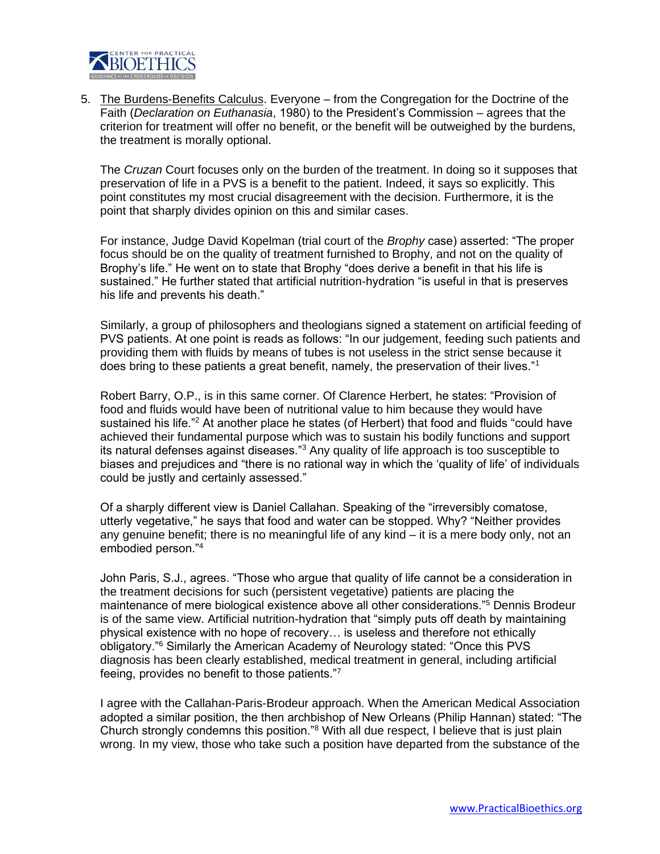

5. The Burdens-Benefits Calculus. Everyone – from the Congregation for the Doctrine of the Faith (*Declaration on Euthanasia*, 1980) to the President's Commission – agrees that the criterion for treatment will offer no benefit, or the benefit will be outweighed by the burdens, the treatment is morally optional.

The *Cruzan* Court focuses only on the burden of the treatment. In doing so it supposes that preservation of life in a PVS is a benefit to the patient. Indeed, it says so explicitly. This point constitutes my most crucial disagreement with the decision. Furthermore, it is the point that sharply divides opinion on this and similar cases.

For instance, Judge David Kopelman (trial court of the *Brophy* case) asserted: "The proper focus should be on the quality of treatment furnished to Brophy, and not on the quality of Brophy's life." He went on to state that Brophy "does derive a benefit in that his life is sustained." He further stated that artificial nutrition-hydration "is useful in that is preserves his life and prevents his death."

Similarly, a group of philosophers and theologians signed a statement on artificial feeding of PVS patients. At one point is reads as follows: "In our judgement, feeding such patients and providing them with fluids by means of tubes is not useless in the strict sense because it does bring to these patients a great benefit, namely, the preservation of their lives."<sup>1</sup>

Robert Barry, O.P., is in this same corner. Of Clarence Herbert, he states: "Provision of food and fluids would have been of nutritional value to him because they would have sustained his life."<sup>2</sup> At another place he states (of Herbert) that food and fluids "could have achieved their fundamental purpose which was to sustain his bodily functions and support its natural defenses against diseases."<sup>3</sup> Any quality of life approach is too susceptible to biases and prejudices and "there is no rational way in which the 'quality of life' of individuals could be justly and certainly assessed."

Of a sharply different view is Daniel Callahan. Speaking of the "irreversibly comatose, utterly vegetative," he says that food and water can be stopped. Why? "Neither provides any genuine benefit; there is no meaningful life of any kind – it is a mere body only, not an embodied person."<sup>4</sup>

John Paris, S.J., agrees. "Those who argue that quality of life cannot be a consideration in the treatment decisions for such (persistent vegetative) patients are placing the maintenance of mere biological existence above all other considerations."<sup>5</sup> Dennis Brodeur is of the same view. Artificial nutrition-hydration that "simply puts off death by maintaining physical existence with no hope of recovery… is useless and therefore not ethically obligatory."<sup>6</sup> Similarly the American Academy of Neurology stated: "Once this PVS diagnosis has been clearly established, medical treatment in general, including artificial feeing, provides no benefit to those patients."<sup>7</sup>

I agree with the Callahan-Paris-Brodeur approach. When the American Medical Association adopted a similar position, the then archbishop of New Orleans (Philip Hannan) stated: "The Church strongly condemns this position."<sup>8</sup> With all due respect, I believe that is just plain wrong. In my view, those who take such a position have departed from the substance of the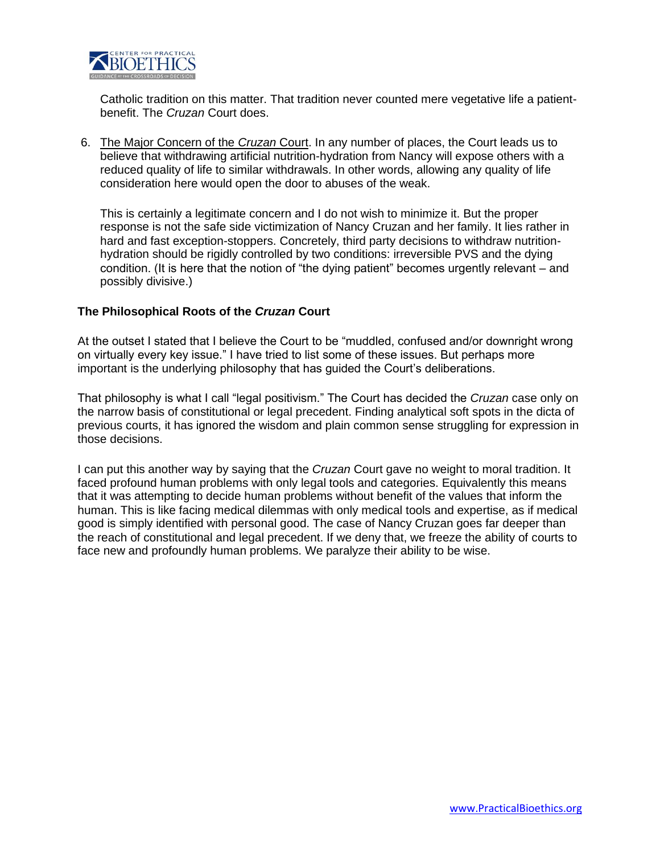

Catholic tradition on this matter. That tradition never counted mere vegetative life a patientbenefit. The *Cruzan* Court does.

6. The Major Concern of the *Cruzan* Court. In any number of places, the Court leads us to believe that withdrawing artificial nutrition-hydration from Nancy will expose others with a reduced quality of life to similar withdrawals. In other words, allowing any quality of life consideration here would open the door to abuses of the weak.

This is certainly a legitimate concern and I do not wish to minimize it. But the proper response is not the safe side victimization of Nancy Cruzan and her family. It lies rather in hard and fast exception-stoppers. Concretely, third party decisions to withdraw nutritionhydration should be rigidly controlled by two conditions: irreversible PVS and the dying condition. (It is here that the notion of "the dying patient" becomes urgently relevant – and possibly divisive.)

## **The Philosophical Roots of the** *Cruzan* **Court**

At the outset I stated that I believe the Court to be "muddled, confused and/or downright wrong on virtually every key issue." I have tried to list some of these issues. But perhaps more important is the underlying philosophy that has guided the Court's deliberations.

That philosophy is what I call "legal positivism." The Court has decided the *Cruzan* case only on the narrow basis of constitutional or legal precedent. Finding analytical soft spots in the dicta of previous courts, it has ignored the wisdom and plain common sense struggling for expression in those decisions.

I can put this another way by saying that the *Cruzan* Court gave no weight to moral tradition. It faced profound human problems with only legal tools and categories. Equivalently this means that it was attempting to decide human problems without benefit of the values that inform the human. This is like facing medical dilemmas with only medical tools and expertise, as if medical good is simply identified with personal good. The case of Nancy Cruzan goes far deeper than the reach of constitutional and legal precedent. If we deny that, we freeze the ability of courts to face new and profoundly human problems. We paralyze their ability to be wise.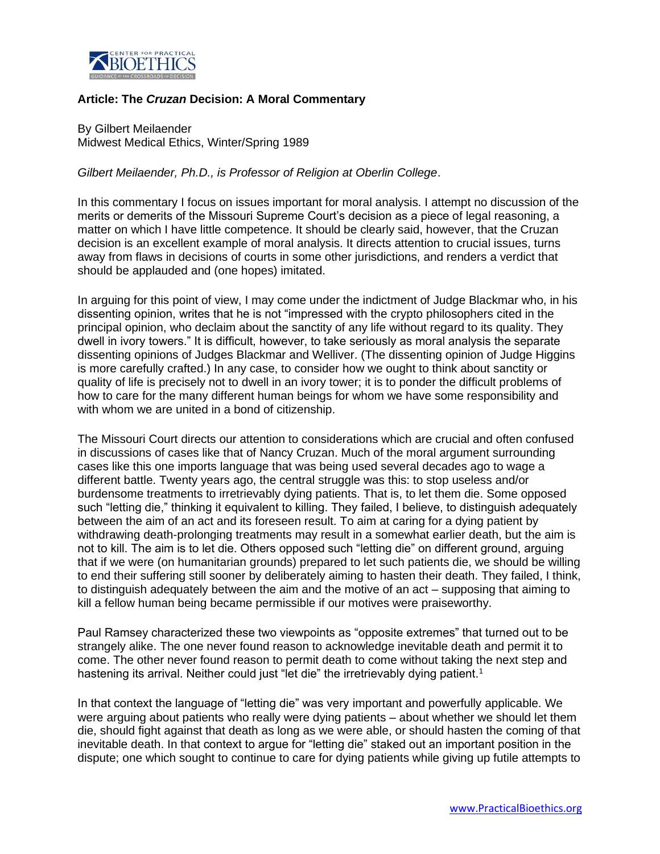

## **Article: The** *Cruzan* **Decision: A Moral Commentary**

By Gilbert Meilaender Midwest Medical Ethics, Winter/Spring 1989

#### *Gilbert Meilaender, Ph.D., is Professor of Religion at Oberlin College*.

In this commentary I focus on issues important for moral analysis. I attempt no discussion of the merits or demerits of the Missouri Supreme Court's decision as a piece of legal reasoning, a matter on which I have little competence. It should be clearly said, however, that the Cruzan decision is an excellent example of moral analysis. It directs attention to crucial issues, turns away from flaws in decisions of courts in some other jurisdictions, and renders a verdict that should be applauded and (one hopes) imitated.

In arguing for this point of view, I may come under the indictment of Judge Blackmar who, in his dissenting opinion, writes that he is not "impressed with the crypto philosophers cited in the principal opinion, who declaim about the sanctity of any life without regard to its quality. They dwell in ivory towers." It is difficult, however, to take seriously as moral analysis the separate dissenting opinions of Judges Blackmar and Welliver. (The dissenting opinion of Judge Higgins is more carefully crafted.) In any case, to consider how we ought to think about sanctity or quality of life is precisely not to dwell in an ivory tower; it is to ponder the difficult problems of how to care for the many different human beings for whom we have some responsibility and with whom we are united in a bond of citizenship.

The Missouri Court directs our attention to considerations which are crucial and often confused in discussions of cases like that of Nancy Cruzan. Much of the moral argument surrounding cases like this one imports language that was being used several decades ago to wage a different battle. Twenty years ago, the central struggle was this: to stop useless and/or burdensome treatments to irretrievably dying patients. That is, to let them die. Some opposed such "letting die," thinking it equivalent to killing. They failed, I believe, to distinguish adequately between the aim of an act and its foreseen result. To aim at caring for a dying patient by withdrawing death-prolonging treatments may result in a somewhat earlier death, but the aim is not to kill. The aim is to let die. Others opposed such "letting die" on different ground, arguing that if we were (on humanitarian grounds) prepared to let such patients die, we should be willing to end their suffering still sooner by deliberately aiming to hasten their death. They failed, I think, to distinguish adequately between the aim and the motive of an act – supposing that aiming to kill a fellow human being became permissible if our motives were praiseworthy.

Paul Ramsey characterized these two viewpoints as "opposite extremes" that turned out to be strangely alike. The one never found reason to acknowledge inevitable death and permit it to come. The other never found reason to permit death to come without taking the next step and hastening its arrival. Neither could just "let die" the irretrievably dying patient.<sup>1</sup>

In that context the language of "letting die" was very important and powerfully applicable. We were arguing about patients who really were dying patients – about whether we should let them die, should fight against that death as long as we were able, or should hasten the coming of that inevitable death. In that context to argue for "letting die" staked out an important position in the dispute; one which sought to continue to care for dying patients while giving up futile attempts to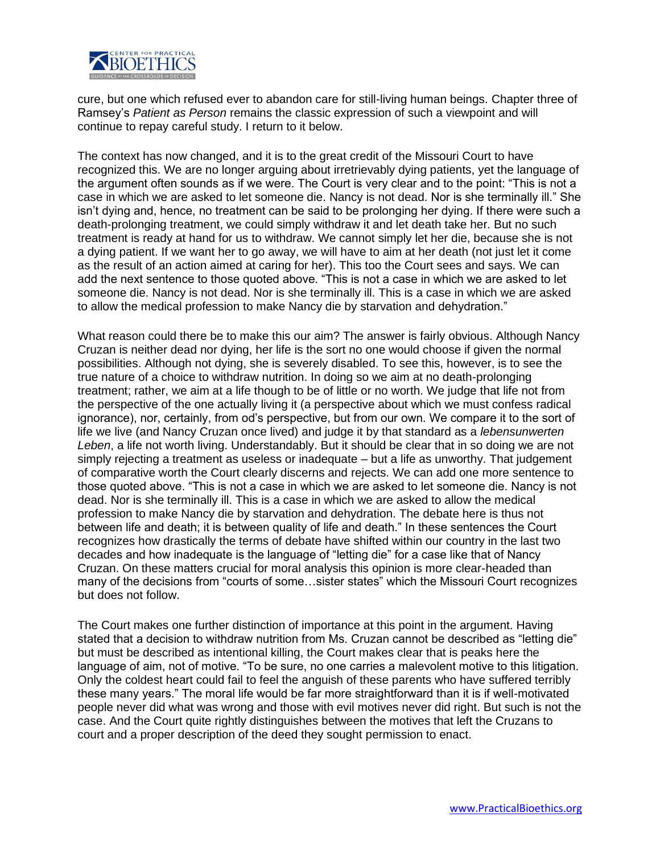

cure, but one which refused ever to abandon care for still-living human beings. Chapter three of Ramsey's *Patient as Person* remains the classic expression of such a viewpoint and will continue to repay careful study. I return to it below.

The context has now changed, and it is to the great credit of the Missouri Court to have recognized this. We are no longer arguing about irretrievably dying patients, yet the language of the argument often sounds as if we were. The Court is very clear and to the point: "This is not a case in which we are asked to let someone die. Nancy is not dead. Nor is she terminally ill." She isn't dying and, hence, no treatment can be said to be prolonging her dying. If there were such a death-prolonging treatment, we could simply withdraw it and let death take her. But no such treatment is ready at hand for us to withdraw. We cannot simply let her die, because she is not a dying patient. If we want her to go away, we will have to aim at her death (not just let it come as the result of an action aimed at caring for her). This too the Court sees and says. We can add the next sentence to those quoted above. "This is not a case in which we are asked to let someone die. Nancy is not dead. Nor is she terminally ill. This is a case in which we are asked to allow the medical profession to make Nancy die by starvation and dehydration."

What reason could there be to make this our aim? The answer is fairly obvious. Although Nancy Cruzan is neither dead nor dying, her life is the sort no one would choose if given the normal possibilities. Although not dying, she is severely disabled. To see this, however, is to see the true nature of a choice to withdraw nutrition. In doing so we aim at no death-prolonging treatment; rather, we aim at a life though to be of little or no worth. We judge that life not from the perspective of the one actually living it (a perspective about which we must confess radical ignorance), nor, certainly, from od's perspective, but from our own. We compare it to the sort of life we live (and Nancy Cruzan once lived) and judge it by that standard as a *lebensunwerten Leben*, a life not worth living. Understandably. But it should be clear that in so doing we are not simply rejecting a treatment as useless or inadequate – but a life as unworthy. That judgement of comparative worth the Court clearly discerns and rejects. We can add one more sentence to those quoted above. "This is not a case in which we are asked to let someone die. Nancy is not dead. Nor is she terminally ill. This is a case in which we are asked to allow the medical profession to make Nancy die by starvation and dehydration. The debate here is thus not between life and death; it is between quality of life and death." In these sentences the Court recognizes how drastically the terms of debate have shifted within our country in the last two decades and how inadequate is the language of "letting die" for a case like that of Nancy Cruzan. On these matters crucial for moral analysis this opinion is more clear-headed than many of the decisions from "courts of some…sister states" which the Missouri Court recognizes but does not follow.

The Court makes one further distinction of importance at this point in the argument. Having stated that a decision to withdraw nutrition from Ms. Cruzan cannot be described as "letting die" but must be described as intentional killing, the Court makes clear that is peaks here the language of aim, not of motive. "To be sure, no one carries a malevolent motive to this litigation. Only the coldest heart could fail to feel the anguish of these parents who have suffered terribly these many years." The moral life would be far more straightforward than it is if well-motivated people never did what was wrong and those with evil motives never did right. But such is not the case. And the Court quite rightly distinguishes between the motives that left the Cruzans to court and a proper description of the deed they sought permission to enact.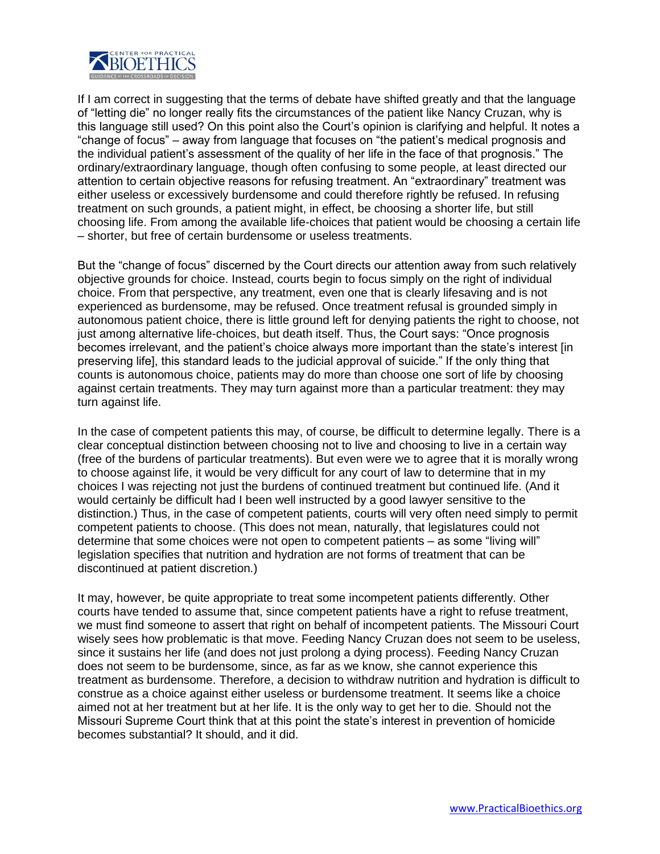

If I am correct in suggesting that the terms of debate have shifted greatly and that the language of "letting die" no longer really fits the circumstances of the patient like Nancy Cruzan, why is this language still used? On this point also the Court's opinion is clarifying and helpful. It notes a "change of focus" – away from language that focuses on "the patient's medical prognosis and the individual patient's assessment of the quality of her life in the face of that prognosis." The ordinary/extraordinary language, though often confusing to some people, at least directed our attention to certain objective reasons for refusing treatment. An "extraordinary" treatment was either useless or excessively burdensome and could therefore rightly be refused. In refusing treatment on such grounds, a patient might, in effect, be choosing a shorter life, but still choosing life. From among the available life-choices that patient would be choosing a certain life – shorter, but free of certain burdensome or useless treatments.

But the "change of focus" discerned by the Court directs our attention away from such relatively objective grounds for choice. Instead, courts begin to focus simply on the right of individual choice. From that perspective, any treatment, even one that is clearly lifesaving and is not experienced as burdensome, may be refused. Once treatment refusal is grounded simply in autonomous patient choice, there is little ground left for denying patients the right to choose, not just among alternative life-choices, but death itself. Thus, the Court says: "Once prognosis becomes irrelevant, and the patient's choice always more important than the state's interest [in preserving life], this standard leads to the judicial approval of suicide." If the only thing that counts is autonomous choice, patients may do more than choose one sort of life by choosing against certain treatments. They may turn against more than a particular treatment: they may turn against life.

In the case of competent patients this may, of course, be difficult to determine legally. There is a clear conceptual distinction between choosing not to live and choosing to live in a certain way (free of the burdens of particular treatments). But even were we to agree that it is morally wrong to choose against life, it would be very difficult for any court of law to determine that in my choices I was rejecting not just the burdens of continued treatment but continued life. (And it would certainly be difficult had I been well instructed by a good lawyer sensitive to the distinction.) Thus, in the case of competent patients, courts will very often need simply to permit competent patients to choose. (This does not mean, naturally, that legislatures could not determine that some choices were not open to competent patients – as some "living will" legislation specifies that nutrition and hydration are not forms of treatment that can be discontinued at patient discretion.)

It may, however, be quite appropriate to treat some incompetent patients differently. Other courts have tended to assume that, since competent patients have a right to refuse treatment, we must find someone to assert that right on behalf of incompetent patients. The Missouri Court wisely sees how problematic is that move. Feeding Nancy Cruzan does not seem to be useless, since it sustains her life (and does not just prolong a dying process). Feeding Nancy Cruzan does not seem to be burdensome, since, as far as we know, she cannot experience this treatment as burdensome. Therefore, a decision to withdraw nutrition and hydration is difficult to construe as a choice against either useless or burdensome treatment. It seems like a choice aimed not at her treatment but at her life. It is the only way to get her to die. Should not the Missouri Supreme Court think that at this point the state's interest in prevention of homicide becomes substantial? It should, and it did.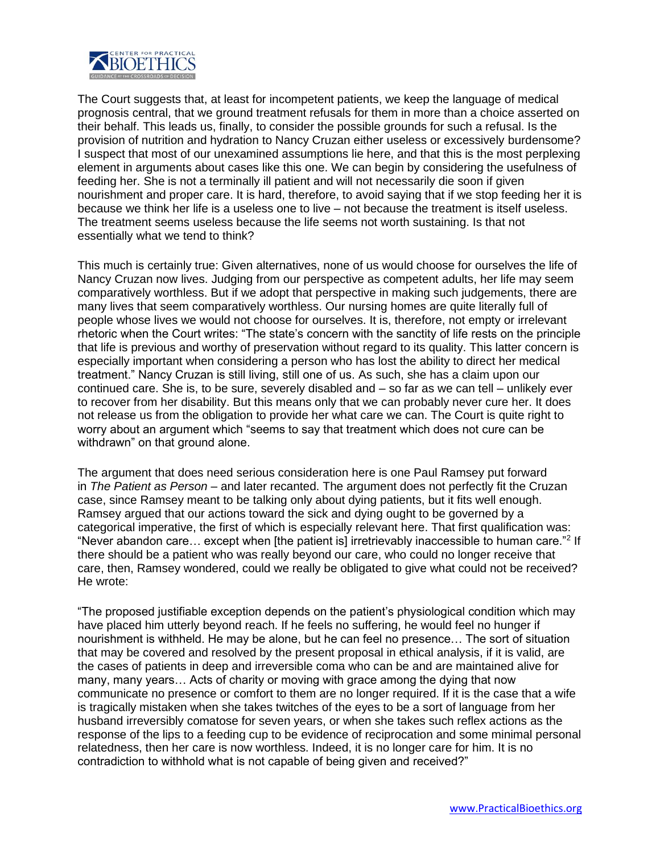

The Court suggests that, at least for incompetent patients, we keep the language of medical prognosis central, that we ground treatment refusals for them in more than a choice asserted on their behalf. This leads us, finally, to consider the possible grounds for such a refusal. Is the provision of nutrition and hydration to Nancy Cruzan either useless or excessively burdensome? I suspect that most of our unexamined assumptions lie here, and that this is the most perplexing element in arguments about cases like this one. We can begin by considering the usefulness of feeding her. She is not a terminally ill patient and will not necessarily die soon if given nourishment and proper care. It is hard, therefore, to avoid saying that if we stop feeding her it is because we think her life is a useless one to live – not because the treatment is itself useless. The treatment seems useless because the life seems not worth sustaining. Is that not essentially what we tend to think?

This much is certainly true: Given alternatives, none of us would choose for ourselves the life of Nancy Cruzan now lives. Judging from our perspective as competent adults, her life may seem comparatively worthless. But if we adopt that perspective in making such judgements, there are many lives that seem comparatively worthless. Our nursing homes are quite literally full of people whose lives we would not choose for ourselves. It is, therefore, not empty or irrelevant rhetoric when the Court writes: "The state's concern with the sanctity of life rests on the principle that life is previous and worthy of preservation without regard to its quality. This latter concern is especially important when considering a person who has lost the ability to direct her medical treatment." Nancy Cruzan is still living, still one of us. As such, she has a claim upon our continued care. She is, to be sure, severely disabled and – so far as we can tell – unlikely ever to recover from her disability. But this means only that we can probably never cure her. It does not release us from the obligation to provide her what care we can. The Court is quite right to worry about an argument which "seems to say that treatment which does not cure can be withdrawn" on that ground alone.

The argument that does need serious consideration here is one Paul Ramsey put forward in *The Patient as Person* – and later recanted. The argument does not perfectly fit the Cruzan case, since Ramsey meant to be talking only about dying patients, but it fits well enough. Ramsey argued that our actions toward the sick and dying ought to be governed by a categorical imperative, the first of which is especially relevant here. That first qualification was: "Never abandon care… except when [the patient is] irretrievably inaccessible to human care."<sup>2</sup> If there should be a patient who was really beyond our care, who could no longer receive that care, then, Ramsey wondered, could we really be obligated to give what could not be received? He wrote:

"The proposed justifiable exception depends on the patient's physiological condition which may have placed him utterly beyond reach. If he feels no suffering, he would feel no hunger if nourishment is withheld. He may be alone, but he can feel no presence… The sort of situation that may be covered and resolved by the present proposal in ethical analysis, if it is valid, are the cases of patients in deep and irreversible coma who can be and are maintained alive for many, many years… Acts of charity or moving with grace among the dying that now communicate no presence or comfort to them are no longer required. If it is the case that a wife is tragically mistaken when she takes twitches of the eyes to be a sort of language from her husband irreversibly comatose for seven years, or when she takes such reflex actions as the response of the lips to a feeding cup to be evidence of reciprocation and some minimal personal relatedness, then her care is now worthless. Indeed, it is no longer care for him. It is no contradiction to withhold what is not capable of being given and received?"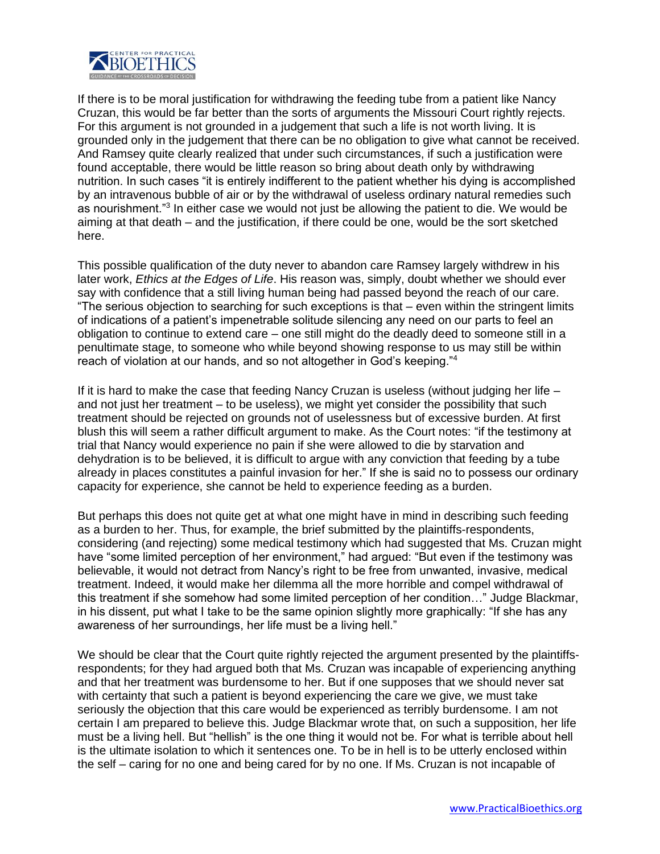

If there is to be moral justification for withdrawing the feeding tube from a patient like Nancy Cruzan, this would be far better than the sorts of arguments the Missouri Court rightly rejects. For this argument is not grounded in a judgement that such a life is not worth living. It is grounded only in the judgement that there can be no obligation to give what cannot be received. And Ramsey quite clearly realized that under such circumstances, if such a justification were found acceptable, there would be little reason so bring about death only by withdrawing nutrition. In such cases "it is entirely indifferent to the patient whether his dying is accomplished by an intravenous bubble of air or by the withdrawal of useless ordinary natural remedies such as nourishment."<sup>3</sup> In either case we would not just be allowing the patient to die. We would be aiming at that death – and the justification, if there could be one, would be the sort sketched here.

This possible qualification of the duty never to abandon care Ramsey largely withdrew in his later work, *Ethics at the Edges of Life*. His reason was, simply, doubt whether we should ever say with confidence that a still living human being had passed beyond the reach of our care. "The serious objection to searching for such exceptions is that – even within the stringent limits of indications of a patient's impenetrable solitude silencing any need on our parts to feel an obligation to continue to extend care – one still might do the deadly deed to someone still in a penultimate stage, to someone who while beyond showing response to us may still be within reach of violation at our hands, and so not altogether in God's keeping."<sup>4</sup>

If it is hard to make the case that feeding Nancy Cruzan is useless (without judging her life – and not just her treatment – to be useless), we might yet consider the possibility that such treatment should be rejected on grounds not of uselessness but of excessive burden. At first blush this will seem a rather difficult argument to make. As the Court notes: "if the testimony at trial that Nancy would experience no pain if she were allowed to die by starvation and dehydration is to be believed, it is difficult to argue with any conviction that feeding by a tube already in places constitutes a painful invasion for her." If she is said no to possess our ordinary capacity for experience, she cannot be held to experience feeding as a burden.

But perhaps this does not quite get at what one might have in mind in describing such feeding as a burden to her. Thus, for example, the brief submitted by the plaintiffs-respondents, considering (and rejecting) some medical testimony which had suggested that Ms. Cruzan might have "some limited perception of her environment," had argued: "But even if the testimony was believable, it would not detract from Nancy's right to be free from unwanted, invasive, medical treatment. Indeed, it would make her dilemma all the more horrible and compel withdrawal of this treatment if she somehow had some limited perception of her condition…" Judge Blackmar, in his dissent, put what I take to be the same opinion slightly more graphically: "If she has any awareness of her surroundings, her life must be a living hell."

We should be clear that the Court quite rightly rejected the argument presented by the plaintiffsrespondents; for they had argued both that Ms. Cruzan was incapable of experiencing anything and that her treatment was burdensome to her. But if one supposes that we should never sat with certainty that such a patient is beyond experiencing the care we give, we must take seriously the objection that this care would be experienced as terribly burdensome. I am not certain I am prepared to believe this. Judge Blackmar wrote that, on such a supposition, her life must be a living hell. But "hellish" is the one thing it would not be. For what is terrible about hell is the ultimate isolation to which it sentences one. To be in hell is to be utterly enclosed within the self – caring for no one and being cared for by no one. If Ms. Cruzan is not incapable of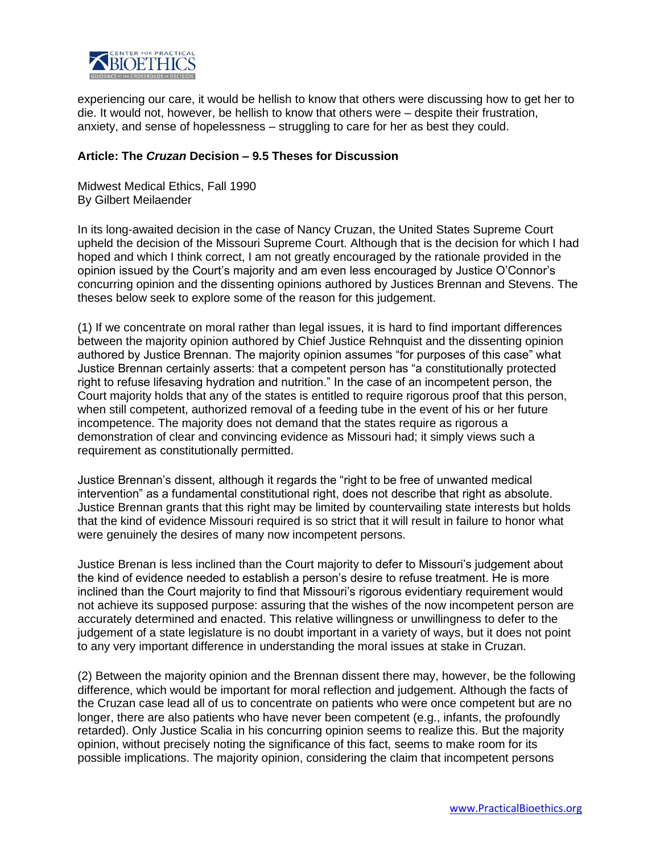

experiencing our care, it would be hellish to know that others were discussing how to get her to die. It would not, however, be hellish to know that others were – despite their frustration, anxiety, and sense of hopelessness – struggling to care for her as best they could.

#### **Article: The** *Cruzan* **Decision – 9.5 Theses for Discussion**

Midwest Medical Ethics, Fall 1990 By Gilbert Meilaender

In its long-awaited decision in the case of Nancy Cruzan, the United States Supreme Court upheld the decision of the Missouri Supreme Court. Although that is the decision for which I had hoped and which I think correct, I am not greatly encouraged by the rationale provided in the opinion issued by the Court's majority and am even less encouraged by Justice O'Connor's concurring opinion and the dissenting opinions authored by Justices Brennan and Stevens. The theses below seek to explore some of the reason for this judgement.

(1) If we concentrate on moral rather than legal issues, it is hard to find important differences between the majority opinion authored by Chief Justice Rehnquist and the dissenting opinion authored by Justice Brennan. The majority opinion assumes "for purposes of this case" what Justice Brennan certainly asserts: that a competent person has "a constitutionally protected right to refuse lifesaving hydration and nutrition." In the case of an incompetent person, the Court majority holds that any of the states is entitled to require rigorous proof that this person, when still competent, authorized removal of a feeding tube in the event of his or her future incompetence. The majority does not demand that the states require as rigorous a demonstration of clear and convincing evidence as Missouri had; it simply views such a requirement as constitutionally permitted.

Justice Brennan's dissent, although it regards the "right to be free of unwanted medical intervention" as a fundamental constitutional right, does not describe that right as absolute. Justice Brennan grants that this right may be limited by countervailing state interests but holds that the kind of evidence Missouri required is so strict that it will result in failure to honor what were genuinely the desires of many now incompetent persons.

Justice Brenan is less inclined than the Court majority to defer to Missouri's judgement about the kind of evidence needed to establish a person's desire to refuse treatment. He is more inclined than the Court majority to find that Missouri's rigorous evidentiary requirement would not achieve its supposed purpose: assuring that the wishes of the now incompetent person are accurately determined and enacted. This relative willingness or unwillingness to defer to the judgement of a state legislature is no doubt important in a variety of ways, but it does not point to any very important difference in understanding the moral issues at stake in Cruzan.

(2) Between the majority opinion and the Brennan dissent there may, however, be the following difference, which would be important for moral reflection and judgement. Although the facts of the Cruzan case lead all of us to concentrate on patients who were once competent but are no longer, there are also patients who have never been competent (e.g., infants, the profoundly retarded). Only Justice Scalia in his concurring opinion seems to realize this. But the majority opinion, without precisely noting the significance of this fact, seems to make room for its possible implications. The majority opinion, considering the claim that incompetent persons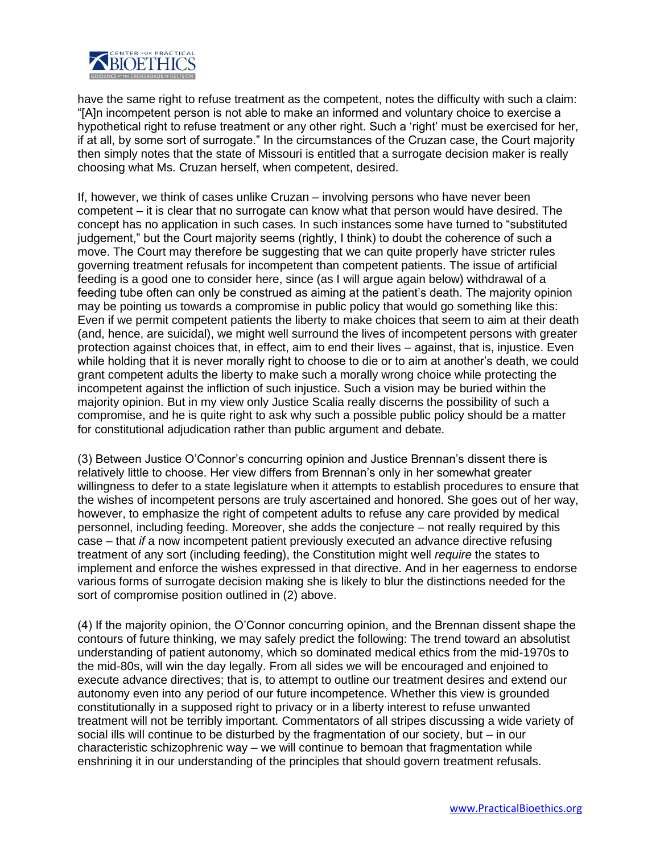

have the same right to refuse treatment as the competent, notes the difficulty with such a claim: "[A]n incompetent person is not able to make an informed and voluntary choice to exercise a hypothetical right to refuse treatment or any other right. Such a 'right' must be exercised for her, if at all, by some sort of surrogate." In the circumstances of the Cruzan case, the Court majority then simply notes that the state of Missouri is entitled that a surrogate decision maker is really choosing what Ms. Cruzan herself, when competent, desired.

If, however, we think of cases unlike Cruzan – involving persons who have never been competent – it is clear that no surrogate can know what that person would have desired. The concept has no application in such cases. In such instances some have turned to "substituted judgement," but the Court majority seems (rightly, I think) to doubt the coherence of such a move. The Court may therefore be suggesting that we can quite properly have stricter rules governing treatment refusals for incompetent than competent patients. The issue of artificial feeding is a good one to consider here, since (as I will argue again below) withdrawal of a feeding tube often can only be construed as aiming at the patient's death. The majority opinion may be pointing us towards a compromise in public policy that would go something like this: Even if we permit competent patients the liberty to make choices that seem to aim at their death (and, hence, are suicidal), we might well surround the lives of incompetent persons with greater protection against choices that, in effect, aim to end their lives – against, that is, injustice. Even while holding that it is never morally right to choose to die or to aim at another's death, we could grant competent adults the liberty to make such a morally wrong choice while protecting the incompetent against the infliction of such injustice. Such a vision may be buried within the majority opinion. But in my view only Justice Scalia really discerns the possibility of such a compromise, and he is quite right to ask why such a possible public policy should be a matter for constitutional adjudication rather than public argument and debate.

(3) Between Justice O'Connor's concurring opinion and Justice Brennan's dissent there is relatively little to choose. Her view differs from Brennan's only in her somewhat greater willingness to defer to a state legislature when it attempts to establish procedures to ensure that the wishes of incompetent persons are truly ascertained and honored. She goes out of her way, however, to emphasize the right of competent adults to refuse any care provided by medical personnel, including feeding. Moreover, she adds the conjecture – not really required by this case – that *if* a now incompetent patient previously executed an advance directive refusing treatment of any sort (including feeding), the Constitution might well *require* the states to implement and enforce the wishes expressed in that directive. And in her eagerness to endorse various forms of surrogate decision making she is likely to blur the distinctions needed for the sort of compromise position outlined in (2) above.

(4) If the majority opinion, the O'Connor concurring opinion, and the Brennan dissent shape the contours of future thinking, we may safely predict the following: The trend toward an absolutist understanding of patient autonomy, which so dominated medical ethics from the mid-1970s to the mid-80s, will win the day legally. From all sides we will be encouraged and enjoined to execute advance directives; that is, to attempt to outline our treatment desires and extend our autonomy even into any period of our future incompetence. Whether this view is grounded constitutionally in a supposed right to privacy or in a liberty interest to refuse unwanted treatment will not be terribly important. Commentators of all stripes discussing a wide variety of social ills will continue to be disturbed by the fragmentation of our society, but – in our characteristic schizophrenic way – we will continue to bemoan that fragmentation while enshrining it in our understanding of the principles that should govern treatment refusals.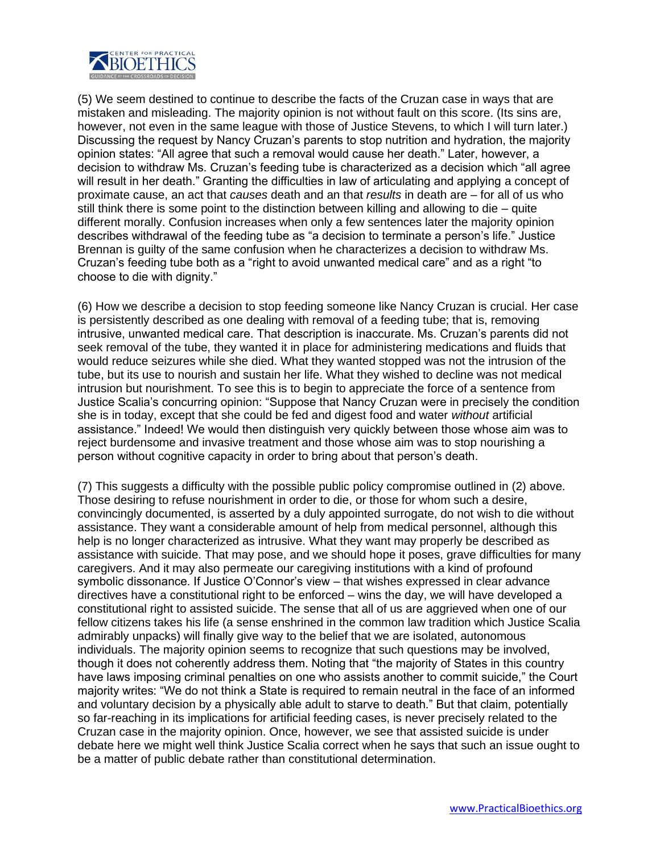

(5) We seem destined to continue to describe the facts of the Cruzan case in ways that are mistaken and misleading. The majority opinion is not without fault on this score. (Its sins are, however, not even in the same league with those of Justice Stevens, to which I will turn later.) Discussing the request by Nancy Cruzan's parents to stop nutrition and hydration, the majority opinion states: "All agree that such a removal would cause her death." Later, however, a decision to withdraw Ms. Cruzan's feeding tube is characterized as a decision which "all agree will result in her death." Granting the difficulties in law of articulating and applying a concept of proximate cause, an act that *causes* death and an that *results* in death are – for all of us who still think there is some point to the distinction between killing and allowing to die – quite different morally. Confusion increases when only a few sentences later the majority opinion describes withdrawal of the feeding tube as "a decision to terminate a person's life." Justice Brennan is guilty of the same confusion when he characterizes a decision to withdraw Ms. Cruzan's feeding tube both as a "right to avoid unwanted medical care" and as a right "to choose to die with dignity."

(6) How we describe a decision to stop feeding someone like Nancy Cruzan is crucial. Her case is persistently described as one dealing with removal of a feeding tube; that is, removing intrusive, unwanted medical care. That description is inaccurate. Ms. Cruzan's parents did not seek removal of the tube, they wanted it in place for administering medications and fluids that would reduce seizures while she died. What they wanted stopped was not the intrusion of the tube, but its use to nourish and sustain her life. What they wished to decline was not medical intrusion but nourishment. To see this is to begin to appreciate the force of a sentence from Justice Scalia's concurring opinion: "Suppose that Nancy Cruzan were in precisely the condition she is in today, except that she could be fed and digest food and water *without* artificial assistance." Indeed! We would then distinguish very quickly between those whose aim was to reject burdensome and invasive treatment and those whose aim was to stop nourishing a person without cognitive capacity in order to bring about that person's death.

(7) This suggests a difficulty with the possible public policy compromise outlined in (2) above. Those desiring to refuse nourishment in order to die, or those for whom such a desire, convincingly documented, is asserted by a duly appointed surrogate, do not wish to die without assistance. They want a considerable amount of help from medical personnel, although this help is no longer characterized as intrusive. What they want may properly be described as assistance with suicide. That may pose, and we should hope it poses, grave difficulties for many caregivers. And it may also permeate our caregiving institutions with a kind of profound symbolic dissonance. If Justice O'Connor's view – that wishes expressed in clear advance directives have a constitutional right to be enforced – wins the day, we will have developed a constitutional right to assisted suicide. The sense that all of us are aggrieved when one of our fellow citizens takes his life (a sense enshrined in the common law tradition which Justice Scalia admirably unpacks) will finally give way to the belief that we are isolated, autonomous individuals. The majority opinion seems to recognize that such questions may be involved, though it does not coherently address them. Noting that "the majority of States in this country have laws imposing criminal penalties on one who assists another to commit suicide," the Court majority writes: "We do not think a State is required to remain neutral in the face of an informed and voluntary decision by a physically able adult to starve to death." But that claim, potentially so far-reaching in its implications for artificial feeding cases, is never precisely related to the Cruzan case in the majority opinion. Once, however, we see that assisted suicide is under debate here we might well think Justice Scalia correct when he says that such an issue ought to be a matter of public debate rather than constitutional determination.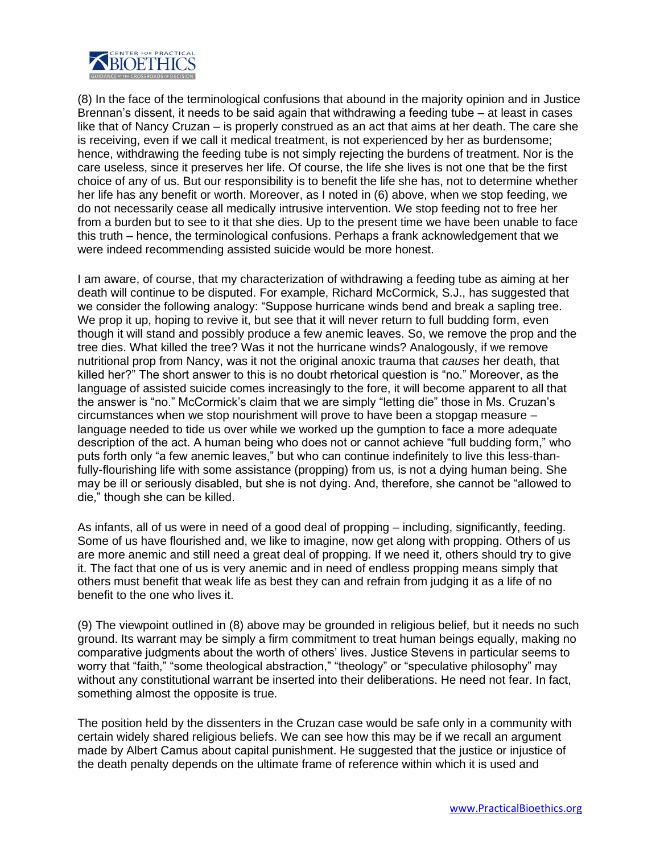

(8) In the face of the terminological confusions that abound in the majority opinion and in Justice Brennan's dissent, it needs to be said again that withdrawing a feeding tube – at least in cases like that of Nancy Cruzan – is properly construed as an act that aims at her death. The care she is receiving, even if we call it medical treatment, is not experienced by her as burdensome; hence, withdrawing the feeding tube is not simply rejecting the burdens of treatment. Nor is the care useless, since it preserves her life. Of course, the life she lives is not one that be the first choice of any of us. But our responsibility is to benefit the life she has, not to determine whether her life has any benefit or worth. Moreover, as I noted in (6) above, when we stop feeding, we do not necessarily cease all medically intrusive intervention. We stop feeding not to free her from a burden but to see to it that she dies. Up to the present time we have been unable to face this truth – hence, the terminological confusions. Perhaps a frank acknowledgement that we were indeed recommending assisted suicide would be more honest.

I am aware, of course, that my characterization of withdrawing a feeding tube as aiming at her death will continue to be disputed. For example, Richard McCormick, S.J., has suggested that we consider the following analogy: "Suppose hurricane winds bend and break a sapling tree. We prop it up, hoping to revive it, but see that it will never return to full budding form, even though it will stand and possibly produce a few anemic leaves. So, we remove the prop and the tree dies. What killed the tree? Was it not the hurricane winds? Analogously, if we remove nutritional prop from Nancy, was it not the original anoxic trauma that *causes* her death, that killed her?" The short answer to this is no doubt rhetorical question is "no." Moreover, as the language of assisted suicide comes increasingly to the fore, it will become apparent to all that the answer is "no." McCormick's claim that we are simply "letting die" those in Ms. Cruzan's circumstances when we stop nourishment will prove to have been a stopgap measure – language needed to tide us over while we worked up the gumption to face a more adequate description of the act. A human being who does not or cannot achieve "full budding form," who puts forth only "a few anemic leaves," but who can continue indefinitely to live this less-thanfully-flourishing life with some assistance (propping) from us, is not a dying human being. She may be ill or seriously disabled, but she is not dying. And, therefore, she cannot be "allowed to die," though she can be killed.

As infants, all of us were in need of a good deal of propping – including, significantly, feeding. Some of us have flourished and, we like to imagine, now get along with propping. Others of us are more anemic and still need a great deal of propping. If we need it, others should try to give it. The fact that one of us is very anemic and in need of endless propping means simply that others must benefit that weak life as best they can and refrain from judging it as a life of no benefit to the one who lives it.

(9) The viewpoint outlined in (8) above may be grounded in religious belief, but it needs no such ground. Its warrant may be simply a firm commitment to treat human beings equally, making no comparative judgments about the worth of others' lives. Justice Stevens in particular seems to worry that "faith," "some theological abstraction," "theology" or "speculative philosophy" may without any constitutional warrant be inserted into their deliberations. He need not fear. In fact, something almost the opposite is true.

The position held by the dissenters in the Cruzan case would be safe only in a community with certain widely shared religious beliefs. We can see how this may be if we recall an argument made by Albert Camus about capital punishment. He suggested that the justice or injustice of the death penalty depends on the ultimate frame of reference within which it is used and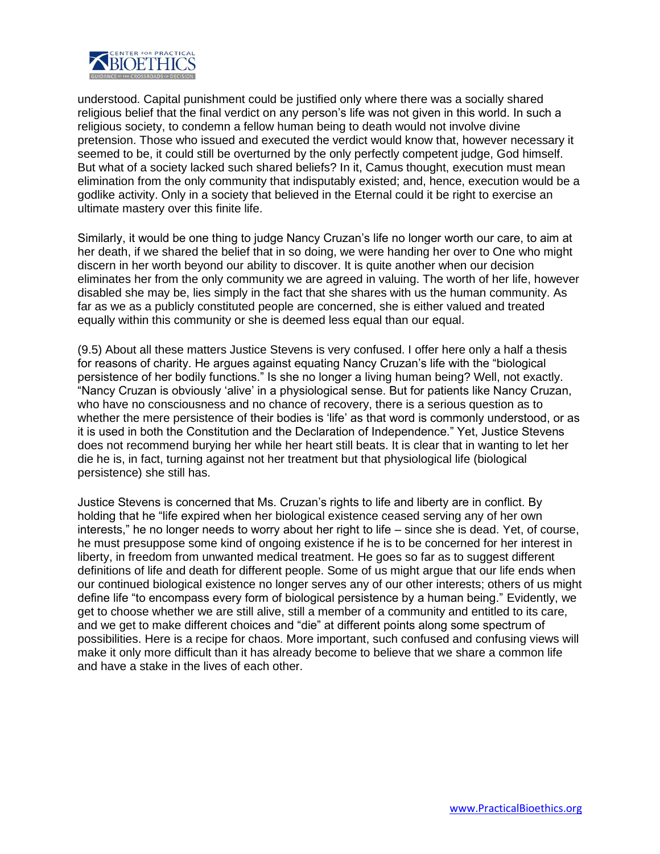

understood. Capital punishment could be justified only where there was a socially shared religious belief that the final verdict on any person's life was not given in this world. In such a religious society, to condemn a fellow human being to death would not involve divine pretension. Those who issued and executed the verdict would know that, however necessary it seemed to be, it could still be overturned by the only perfectly competent judge, God himself. But what of a society lacked such shared beliefs? In it, Camus thought, execution must mean elimination from the only community that indisputably existed; and, hence, execution would be a godlike activity. Only in a society that believed in the Eternal could it be right to exercise an ultimate mastery over this finite life.

Similarly, it would be one thing to judge Nancy Cruzan's life no longer worth our care, to aim at her death, if we shared the belief that in so doing, we were handing her over to One who might discern in her worth beyond our ability to discover. It is quite another when our decision eliminates her from the only community we are agreed in valuing. The worth of her life, however disabled she may be, lies simply in the fact that she shares with us the human community. As far as we as a publicly constituted people are concerned, she is either valued and treated equally within this community or she is deemed less equal than our equal.

(9.5) About all these matters Justice Stevens is very confused. I offer here only a half a thesis for reasons of charity. He argues against equating Nancy Cruzan's life with the "biological persistence of her bodily functions." Is she no longer a living human being? Well, not exactly. "Nancy Cruzan is obviously 'alive' in a physiological sense. But for patients like Nancy Cruzan, who have no consciousness and no chance of recovery, there is a serious question as to whether the mere persistence of their bodies is 'life' as that word is commonly understood, or as it is used in both the Constitution and the Declaration of Independence." Yet, Justice Stevens does not recommend burying her while her heart still beats. It is clear that in wanting to let her die he is, in fact, turning against not her treatment but that physiological life (biological persistence) she still has.

Justice Stevens is concerned that Ms. Cruzan's rights to life and liberty are in conflict. By holding that he "life expired when her biological existence ceased serving any of her own interests," he no longer needs to worry about her right to life – since she is dead. Yet, of course, he must presuppose some kind of ongoing existence if he is to be concerned for her interest in liberty, in freedom from unwanted medical treatment. He goes so far as to suggest different definitions of life and death for different people. Some of us might argue that our life ends when our continued biological existence no longer serves any of our other interests; others of us might define life "to encompass every form of biological persistence by a human being." Evidently, we get to choose whether we are still alive, still a member of a community and entitled to its care, and we get to make different choices and "die" at different points along some spectrum of possibilities. Here is a recipe for chaos. More important, such confused and confusing views will make it only more difficult than it has already become to believe that we share a common life and have a stake in the lives of each other.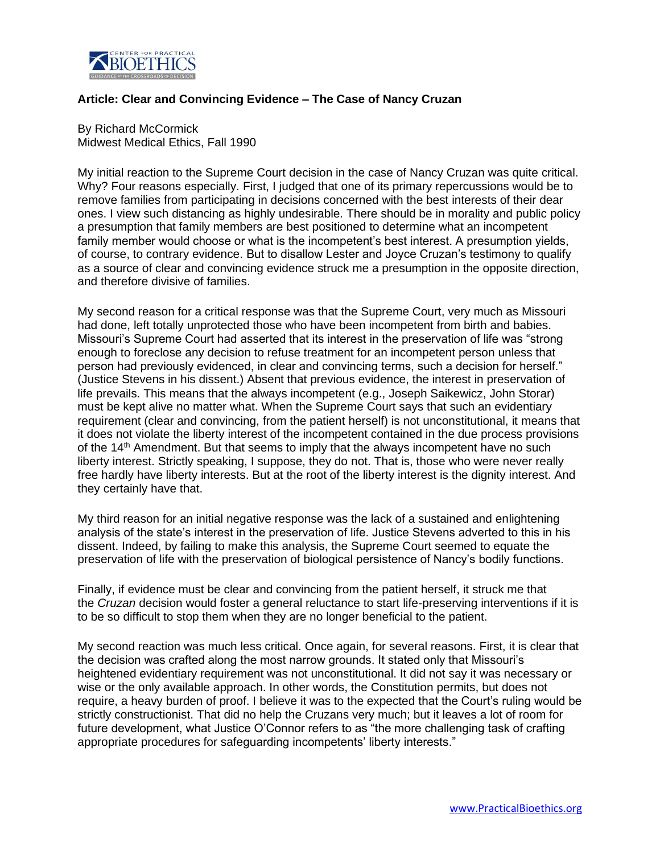

## **Article: Clear and Convincing Evidence – The Case of Nancy Cruzan**

By Richard McCormick Midwest Medical Ethics, Fall 1990

My initial reaction to the Supreme Court decision in the case of Nancy Cruzan was quite critical. Why? Four reasons especially. First, I judged that one of its primary repercussions would be to remove families from participating in decisions concerned with the best interests of their dear ones. I view such distancing as highly undesirable. There should be in morality and public policy a presumption that family members are best positioned to determine what an incompetent family member would choose or what is the incompetent's best interest. A presumption yields, of course, to contrary evidence. But to disallow Lester and Joyce Cruzan's testimony to qualify as a source of clear and convincing evidence struck me a presumption in the opposite direction, and therefore divisive of families.

My second reason for a critical response was that the Supreme Court, very much as Missouri had done, left totally unprotected those who have been incompetent from birth and babies. Missouri's Supreme Court had asserted that its interest in the preservation of life was "strong enough to foreclose any decision to refuse treatment for an incompetent person unless that person had previously evidenced, in clear and convincing terms, such a decision for herself." (Justice Stevens in his dissent.) Absent that previous evidence, the interest in preservation of life prevails. This means that the always incompetent (e.g., Joseph Saikewicz, John Storar) must be kept alive no matter what. When the Supreme Court says that such an evidentiary requirement (clear and convincing, from the patient herself) is not unconstitutional, it means that it does not violate the liberty interest of the incompetent contained in the due process provisions of the 14<sup>th</sup> Amendment. But that seems to imply that the always incompetent have no such liberty interest. Strictly speaking, I suppose, they do not. That is, those who were never really free hardly have liberty interests. But at the root of the liberty interest is the dignity interest. And they certainly have that.

My third reason for an initial negative response was the lack of a sustained and enlightening analysis of the state's interest in the preservation of life. Justice Stevens adverted to this in his dissent. Indeed, by failing to make this analysis, the Supreme Court seemed to equate the preservation of life with the preservation of biological persistence of Nancy's bodily functions.

Finally, if evidence must be clear and convincing from the patient herself, it struck me that the *Cruzan* decision would foster a general reluctance to start life-preserving interventions if it is to be so difficult to stop them when they are no longer beneficial to the patient.

My second reaction was much less critical. Once again, for several reasons. First, it is clear that the decision was crafted along the most narrow grounds. It stated only that Missouri's heightened evidentiary requirement was not unconstitutional. It did not say it was necessary or wise or the only available approach. In other words, the Constitution permits, but does not require, a heavy burden of proof. I believe it was to the expected that the Court's ruling would be strictly constructionist. That did no help the Cruzans very much; but it leaves a lot of room for future development, what Justice O'Connor refers to as "the more challenging task of crafting appropriate procedures for safeguarding incompetents' liberty interests."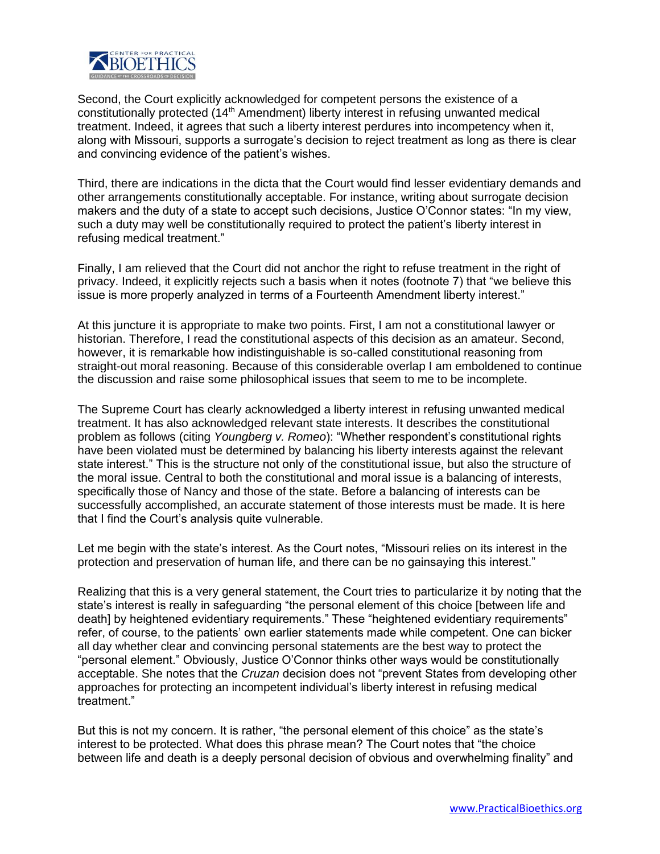

Second, the Court explicitly acknowledged for competent persons the existence of a constitutionally protected (14th Amendment) liberty interest in refusing unwanted medical treatment. Indeed, it agrees that such a liberty interest perdures into incompetency when it, along with Missouri, supports a surrogate's decision to reject treatment as long as there is clear and convincing evidence of the patient's wishes.

Third, there are indications in the dicta that the Court would find lesser evidentiary demands and other arrangements constitutionally acceptable. For instance, writing about surrogate decision makers and the duty of a state to accept such decisions, Justice O'Connor states: "In my view, such a duty may well be constitutionally required to protect the patient's liberty interest in refusing medical treatment."

Finally, I am relieved that the Court did not anchor the right to refuse treatment in the right of privacy. Indeed, it explicitly rejects such a basis when it notes (footnote 7) that "we believe this issue is more properly analyzed in terms of a Fourteenth Amendment liberty interest."

At this juncture it is appropriate to make two points. First, I am not a constitutional lawyer or historian. Therefore, I read the constitutional aspects of this decision as an amateur. Second, however, it is remarkable how indistinguishable is so-called constitutional reasoning from straight-out moral reasoning. Because of this considerable overlap I am emboldened to continue the discussion and raise some philosophical issues that seem to me to be incomplete.

The Supreme Court has clearly acknowledged a liberty interest in refusing unwanted medical treatment. It has also acknowledged relevant state interests. It describes the constitutional problem as follows (citing *Youngberg v. Romeo*): "Whether respondent's constitutional rights have been violated must be determined by balancing his liberty interests against the relevant state interest." This is the structure not only of the constitutional issue, but also the structure of the moral issue. Central to both the constitutional and moral issue is a balancing of interests, specifically those of Nancy and those of the state. Before a balancing of interests can be successfully accomplished, an accurate statement of those interests must be made. It is here that I find the Court's analysis quite vulnerable.

Let me begin with the state's interest. As the Court notes, "Missouri relies on its interest in the protection and preservation of human life, and there can be no gainsaying this interest."

Realizing that this is a very general statement, the Court tries to particularize it by noting that the state's interest is really in safeguarding "the personal element of this choice [between life and death] by heightened evidentiary requirements." These "heightened evidentiary requirements" refer, of course, to the patients' own earlier statements made while competent. One can bicker all day whether clear and convincing personal statements are the best way to protect the "personal element." Obviously, Justice O'Connor thinks other ways would be constitutionally acceptable. She notes that the *Cruzan* decision does not "prevent States from developing other approaches for protecting an incompetent individual's liberty interest in refusing medical treatment."

But this is not my concern. It is rather, "the personal element of this choice" as the state's interest to be protected. What does this phrase mean? The Court notes that "the choice between life and death is a deeply personal decision of obvious and overwhelming finality" and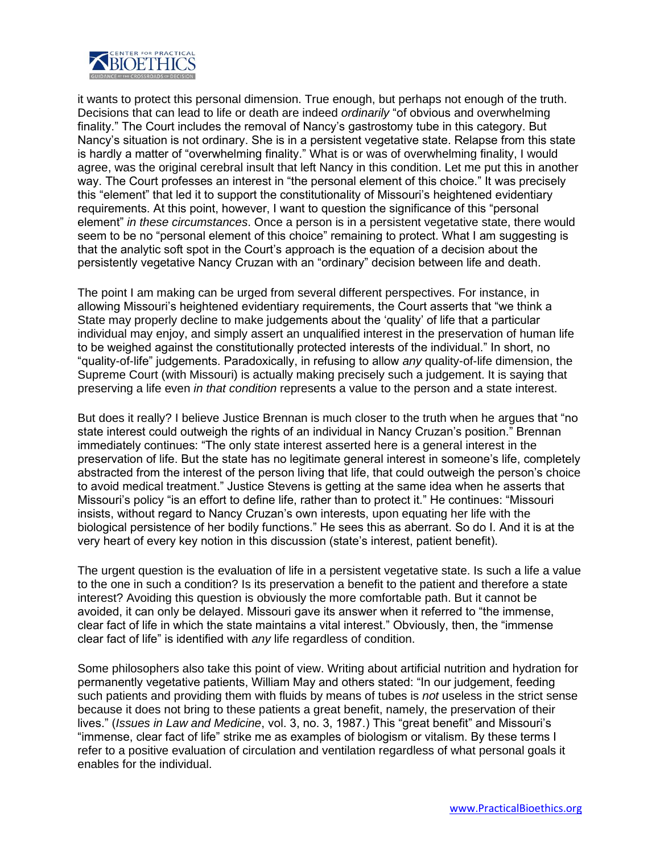

it wants to protect this personal dimension. True enough, but perhaps not enough of the truth. Decisions that can lead to life or death are indeed *ordinarily* "of obvious and overwhelming finality." The Court includes the removal of Nancy's gastrostomy tube in this category. But Nancy's situation is not ordinary. She is in a persistent vegetative state. Relapse from this state is hardly a matter of "overwhelming finality." What is or was of overwhelming finality, I would agree, was the original cerebral insult that left Nancy in this condition. Let me put this in another way. The Court professes an interest in "the personal element of this choice." It was precisely this "element" that led it to support the constitutionality of Missouri's heightened evidentiary requirements. At this point, however, I want to question the significance of this "personal element" *in these circumstances*. Once a person is in a persistent vegetative state, there would seem to be no "personal element of this choice" remaining to protect. What I am suggesting is that the analytic soft spot in the Court's approach is the equation of a decision about the persistently vegetative Nancy Cruzan with an "ordinary" decision between life and death.

The point I am making can be urged from several different perspectives. For instance, in allowing Missouri's heightened evidentiary requirements, the Court asserts that "we think a State may properly decline to make judgements about the 'quality' of life that a particular individual may enjoy, and simply assert an unqualified interest in the preservation of human life to be weighed against the constitutionally protected interests of the individual." In short, no "quality-of-life" judgements. Paradoxically, in refusing to allow *any* quality-of-life dimension, the Supreme Court (with Missouri) is actually making precisely such a judgement. It is saying that preserving a life even *in that condition* represents a value to the person and a state interest.

But does it really? I believe Justice Brennan is much closer to the truth when he argues that "no state interest could outweigh the rights of an individual in Nancy Cruzan's position." Brennan immediately continues: "The only state interest asserted here is a general interest in the preservation of life. But the state has no legitimate general interest in someone's life, completely abstracted from the interest of the person living that life, that could outweigh the person's choice to avoid medical treatment." Justice Stevens is getting at the same idea when he asserts that Missouri's policy "is an effort to define life, rather than to protect it." He continues: "Missouri insists, without regard to Nancy Cruzan's own interests, upon equating her life with the biological persistence of her bodily functions." He sees this as aberrant. So do I. And it is at the very heart of every key notion in this discussion (state's interest, patient benefit).

The urgent question is the evaluation of life in a persistent vegetative state. Is such a life a value to the one in such a condition? Is its preservation a benefit to the patient and therefore a state interest? Avoiding this question is obviously the more comfortable path. But it cannot be avoided, it can only be delayed. Missouri gave its answer when it referred to "the immense, clear fact of life in which the state maintains a vital interest." Obviously, then, the "immense clear fact of life" is identified with *any* life regardless of condition.

Some philosophers also take this point of view. Writing about artificial nutrition and hydration for permanently vegetative patients, William May and others stated: "In our judgement, feeding such patients and providing them with fluids by means of tubes is *not* useless in the strict sense because it does not bring to these patients a great benefit, namely, the preservation of their lives." (*Issues in Law and Medicine*, vol. 3, no. 3, 1987.) This "great benefit" and Missouri's "immense, clear fact of life" strike me as examples of biologism or vitalism. By these terms I refer to a positive evaluation of circulation and ventilation regardless of what personal goals it enables for the individual.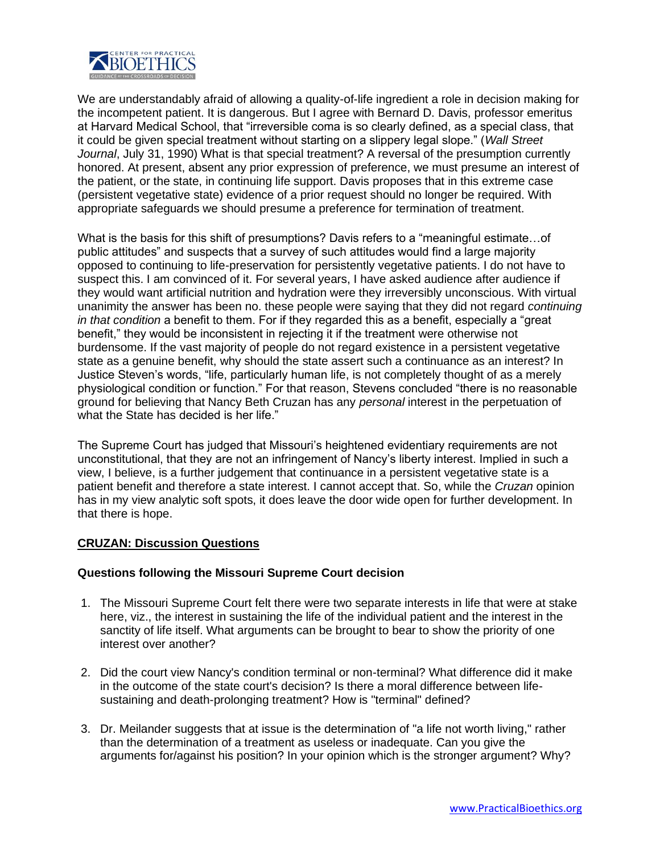

We are understandably afraid of allowing a quality-of-life ingredient a role in decision making for the incompetent patient. It is dangerous. But I agree with Bernard D. Davis, professor emeritus at Harvard Medical School, that "irreversible coma is so clearly defined, as a special class, that it could be given special treatment without starting on a slippery legal slope." (*Wall Street Journal*, July 31, 1990) What is that special treatment? A reversal of the presumption currently honored. At present, absent any prior expression of preference, we must presume an interest of the patient, or the state, in continuing life support. Davis proposes that in this extreme case (persistent vegetative state) evidence of a prior request should no longer be required. With appropriate safeguards we should presume a preference for termination of treatment.

What is the basis for this shift of presumptions? Davis refers to a "meaningful estimate…of public attitudes" and suspects that a survey of such attitudes would find a large majority opposed to continuing to life-preservation for persistently vegetative patients. I do not have to suspect this. I am convinced of it. For several years, I have asked audience after audience if they would want artificial nutrition and hydration were they irreversibly unconscious. With virtual unanimity the answer has been no. these people were saying that they did not regard *continuing in that condition* a benefit to them. For if they regarded this as a benefit, especially a "great benefit," they would be inconsistent in rejecting it if the treatment were otherwise not burdensome. If the vast majority of people do not regard existence in a persistent vegetative state as a genuine benefit, why should the state assert such a continuance as an interest? In Justice Steven's words, "life, particularly human life, is not completely thought of as a merely physiological condition or function." For that reason, Stevens concluded "there is no reasonable ground for believing that Nancy Beth Cruzan has any *personal* interest in the perpetuation of what the State has decided is her life."

The Supreme Court has judged that Missouri's heightened evidentiary requirements are not unconstitutional, that they are not an infringement of Nancy's liberty interest. Implied in such a view, I believe, is a further judgement that continuance in a persistent vegetative state is a patient benefit and therefore a state interest. I cannot accept that. So, while the *Cruzan* opinion has in my view analytic soft spots, it does leave the door wide open for further development. In that there is hope.

#### **CRUZAN: Discussion Questions**

#### **Questions following the Missouri Supreme Court decision**

- 1. The Missouri Supreme Court felt there were two separate interests in life that were at stake here, viz., the interest in sustaining the life of the individual patient and the interest in the sanctity of life itself. What arguments can be brought to bear to show the priority of one interest over another?
- 2. Did the court view Nancy's condition terminal or non-terminal? What difference did it make in the outcome of the state court's decision? Is there a moral difference between lifesustaining and death-prolonging treatment? How is "terminal" defined?
- 3. Dr. Meilander suggests that at issue is the determination of "a life not worth living," rather than the determination of a treatment as useless or inadequate. Can you give the arguments for/against his position? In your opinion which is the stronger argument? Why?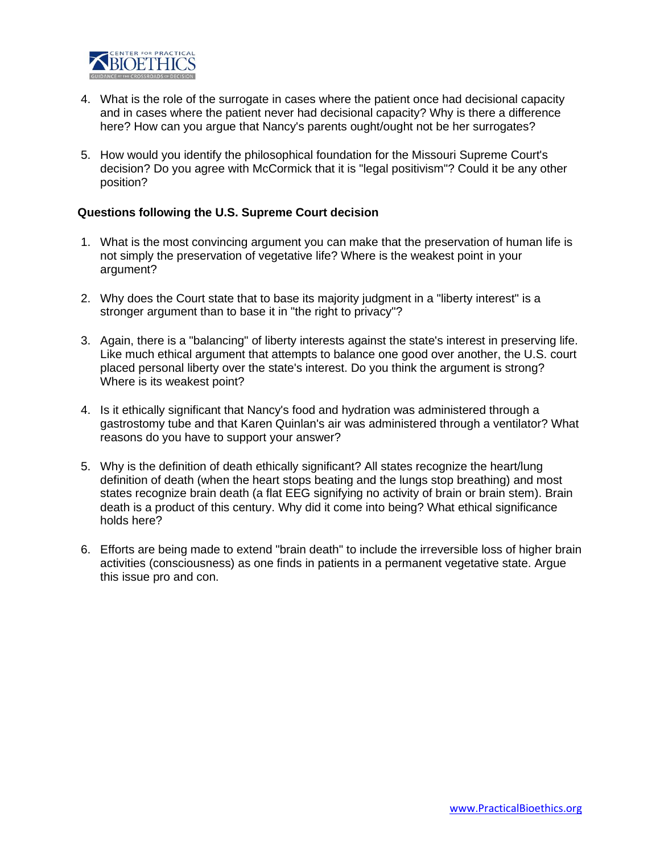

- 4. What is the role of the surrogate in cases where the patient once had decisional capacity and in cases where the patient never had decisional capacity? Why is there a difference here? How can you argue that Nancy's parents ought/ought not be her surrogates?
- 5. How would you identify the philosophical foundation for the Missouri Supreme Court's decision? Do you agree with McCormick that it is "legal positivism"? Could it be any other position?

## **Questions following the U.S. Supreme Court decision**

- 1. What is the most convincing argument you can make that the preservation of human life is not simply the preservation of vegetative life? Where is the weakest point in your argument?
- 2. Why does the Court state that to base its majority judgment in a "liberty interest" is a stronger argument than to base it in "the right to privacy"?
- 3. Again, there is a "balancing" of liberty interests against the state's interest in preserving life. Like much ethical argument that attempts to balance one good over another, the U.S. court placed personal liberty over the state's interest. Do you think the argument is strong? Where is its weakest point?
- 4. Is it ethically significant that Nancy's food and hydration was administered through a gastrostomy tube and that Karen Quinlan's air was administered through a ventilator? What reasons do you have to support your answer?
- 5. Why is the definition of death ethically significant? All states recognize the heart/lung definition of death (when the heart stops beating and the lungs stop breathing) and most states recognize brain death (a flat EEG signifying no activity of brain or brain stem). Brain death is a product of this century. Why did it come into being? What ethical significance holds here?
- 6. Efforts are being made to extend "brain death" to include the irreversible loss of higher brain activities (consciousness) as one finds in patients in a permanent vegetative state. Argue this issue pro and con.